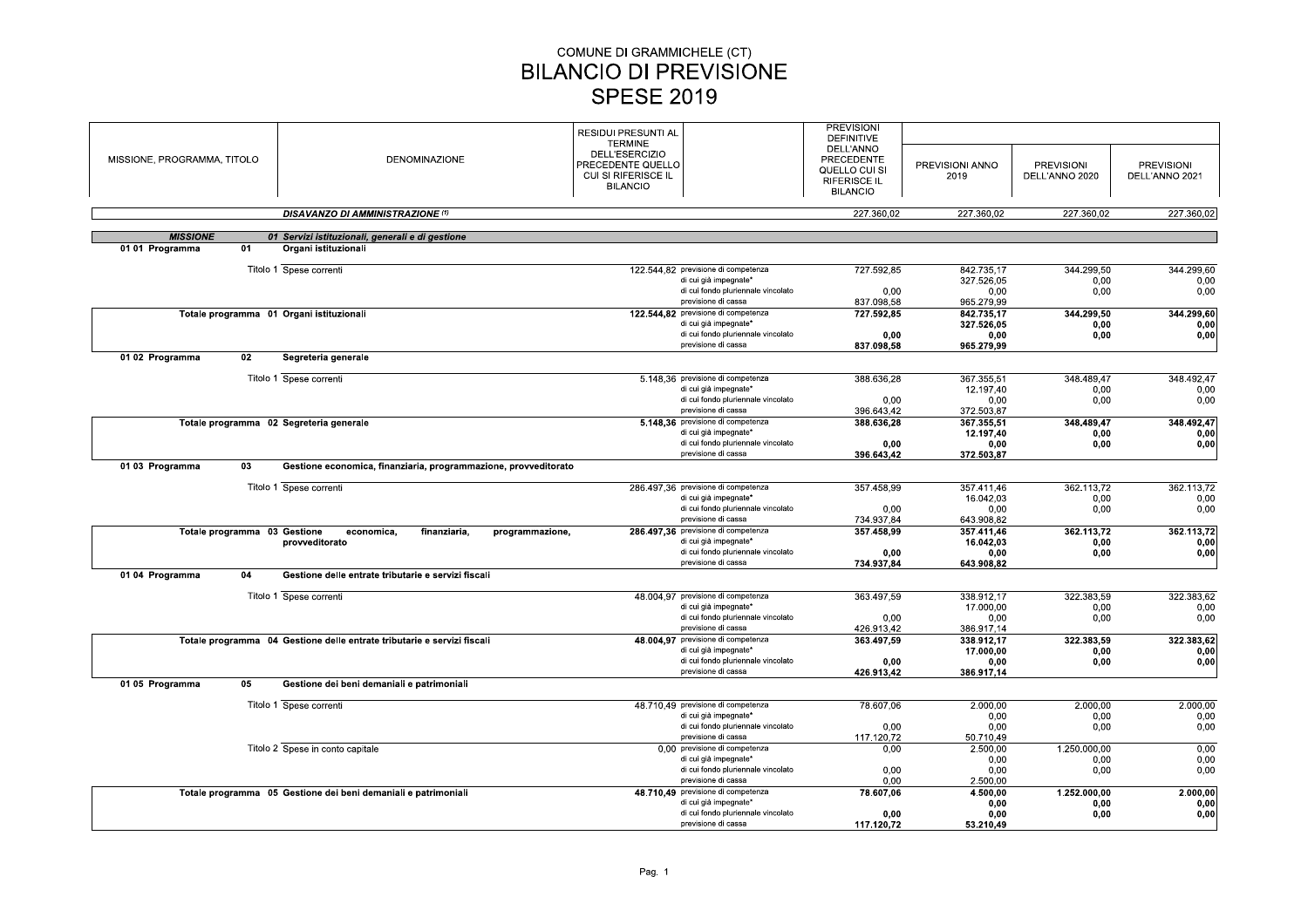| MISSIONE, PROGRAMMA, TITOLO |                              | <b>DENOMINAZIONE</b>                                                    | <b>RESIDUI PRESUNTI AL</b><br><b>TERMINE</b><br>DELL'ESERCIZIO<br>PRECEDENTE QUELLO<br>CUI SI RIFERISCE IL<br><b>BILANCIO</b> | <b>PREVISIONI</b><br>DEFINITIVE<br>DELL'ANNO<br><b>PRECEDENTE</b><br>QUELLO CUI SI<br><b>RIFERISCE IL</b><br><b>BILANCIO</b> | PREVISIONI ANNO<br>2019  | <b>PREVISIONI</b><br>DELL'ANNO 2020 | <b>PREVISIONI</b><br>DELL'ANNO 2021 |
|-----------------------------|------------------------------|-------------------------------------------------------------------------|-------------------------------------------------------------------------------------------------------------------------------|------------------------------------------------------------------------------------------------------------------------------|--------------------------|-------------------------------------|-------------------------------------|
|                             |                              | <b>DISAVANZO DI AMMINISTRAZIONE (1)</b>                                 |                                                                                                                               | 227.360.02                                                                                                                   | 227.360.02               | 227.360,02                          | 227.360,02                          |
| <b>MISSIONE</b>             |                              | 01 Servizi istituzionali, generali e di gestione                        |                                                                                                                               |                                                                                                                              |                          |                                     |                                     |
| 01 01 Programma             | 01                           | Organi istituzionali                                                    |                                                                                                                               |                                                                                                                              |                          |                                     |                                     |
|                             |                              | Titolo 1 Spese correnti                                                 | 122.544,82 previsione di competenza<br>di cui già impegnate*                                                                  | 727.592,85                                                                                                                   | 842.735,17               | 344.299,50                          | 344.299,60                          |
|                             |                              |                                                                         | di cui fondo pluriennale vincolato                                                                                            | 0.00                                                                                                                         | 327.526,05<br>0.00       | 0,00<br>0.00                        | 0,00<br>0,00                        |
|                             |                              |                                                                         | previsione di cassa                                                                                                           | 837.098,58                                                                                                                   | 965.279,99               |                                     |                                     |
|                             |                              | Totale programma 01 Organi istituzionali                                | 122.544,82 previsione di competenza<br>di cui già impegnate*                                                                  | 727.592.85                                                                                                                   | 842.735.17<br>327.526,05 | 344.299,50<br>0,00                  | 344.299,60<br>0,00                  |
|                             |                              |                                                                         | di cui fondo pluriennale vincolato                                                                                            | 0,00                                                                                                                         | 0,00                     | 0,00                                | 0,00                                |
|                             |                              |                                                                         | previsione di cassa                                                                                                           | 837.098,58                                                                                                                   | 965.279,99               |                                     |                                     |
| 01 02 Programma             | 02                           | Segreteria generale                                                     |                                                                                                                               |                                                                                                                              |                          |                                     |                                     |
|                             |                              | Titolo 1 Spese correnti                                                 | 5.148.36 previsione di competenza                                                                                             | 388.636,28                                                                                                                   | 367.355,51               | 348.489,47                          | 348.492,47                          |
|                             |                              |                                                                         | di cui già impegnate*                                                                                                         |                                                                                                                              | 12.197,40                | 0,00                                | 0,00                                |
|                             |                              |                                                                         | di cui fondo pluriennale vincolato<br>previsione di cassa                                                                     | 0.00                                                                                                                         | 0.00                     | 0.00                                | 0,00                                |
|                             |                              | Totale programma 02 Segreteria generale                                 | 5.148,36 previsione di competenza                                                                                             | 396.643,42<br>388.636,28                                                                                                     | 372.503,87<br>367.355,51 | 348.489,47                          | 348.492,47                          |
|                             |                              |                                                                         | di cui già impegnate*                                                                                                         |                                                                                                                              | 12.197.40                | 0,00                                | 0,00                                |
|                             |                              |                                                                         | di cui fondo pluriennale vincolato                                                                                            | 0,00                                                                                                                         | 0,00                     | 0,00                                | 0,00                                |
| 01 03 Programma             | 03                           | Gestione economica, finanziaria, programmazione, provveditorato         | previsione di cassa                                                                                                           | 396.643,42                                                                                                                   | 372.503,87               |                                     |                                     |
|                             |                              |                                                                         |                                                                                                                               |                                                                                                                              |                          |                                     |                                     |
|                             |                              | Titolo 1 Spese correnti                                                 | 286.497,36 previsione di competenza                                                                                           | 357.458,99                                                                                                                   | 357.411,46               | 362.113,72                          | 362.113,72                          |
|                             |                              |                                                                         | di cui già impegnate*                                                                                                         |                                                                                                                              | 16.042,03                | 0,00                                | 0,00                                |
|                             |                              |                                                                         | di cui fondo pluriennale vincolato<br>previsione di cassa                                                                     | 0,00<br>734.937,84                                                                                                           | 0,00<br>643.908,82       | 0,00                                | 0,00                                |
|                             | Totale programma 03 Gestione | economica,<br>finanziaria,<br>programmazione,                           | 286.497,36 previsione di competenza                                                                                           | 357.458,99                                                                                                                   | 357.411.46               | 362.113,72                          | 362.113,72                          |
|                             |                              | provveditorato                                                          | di cui già impegnate*                                                                                                         |                                                                                                                              | 16.042,03                | 0,00                                | 0,00                                |
|                             |                              |                                                                         | di cui fondo pluriennale vincolato<br>previsione di cassa                                                                     | 0.00<br>734.937,84                                                                                                           | 0.00<br>643.908,82       | 0,00                                | 0,00                                |
| 01 04 Programma             | 04                           | Gestione delle entrate tributarie e servizi fiscali                     |                                                                                                                               |                                                                                                                              |                          |                                     |                                     |
|                             |                              |                                                                         |                                                                                                                               |                                                                                                                              |                          |                                     |                                     |
|                             |                              | Titolo 1 Spese correnti                                                 | 48.004,97 previsione di competenza<br>di cui già impegnate*                                                                   | 363.497,59                                                                                                                   | 338.912,17<br>17.000.00  | 322.383,59<br>0.00                  | 322.383,62<br>0.00                  |
|                             |                              |                                                                         | di cui fondo pluriennale vincolato                                                                                            | 0.00                                                                                                                         | 0.00                     | 0.00                                | 0,00                                |
|                             |                              |                                                                         | previsione di cassa                                                                                                           | 426.913,42                                                                                                                   | 386.917,14               |                                     |                                     |
|                             |                              | Totale programma 04 Gestione delle entrate tributarie e servizi fiscali | 48.004,97 previsione di competenza<br>di cui già impegnate*                                                                   | 363.497,59                                                                                                                   | 338.912.17<br>17.000,00  | 322.383,59<br>0,00                  | 322.383,62<br>0,00                  |
|                             |                              |                                                                         | di cui fondo pluriennale vincolato                                                                                            | 0,00                                                                                                                         | 0,00                     | 0,00                                | 0,00                                |
|                             |                              |                                                                         | previsione di cassa                                                                                                           | 426.913,42                                                                                                                   | 386.917,14               |                                     |                                     |
| 01 05 Programma             | 05                           | Gestione dei beni demaniali e patrimoniali                              |                                                                                                                               |                                                                                                                              |                          |                                     |                                     |
|                             |                              | Titolo 1 Spese correnti                                                 | 48.710.49 previsione di competenza                                                                                            | 78.607,06                                                                                                                    | 2.000.00                 | 2,000.00                            | 2.000.00                            |
|                             |                              |                                                                         | di cui già impegnate*                                                                                                         |                                                                                                                              | 0,00                     | 0,00                                | 0,00                                |
|                             |                              |                                                                         | di cui fondo pluriennale vincolato<br>previsione di cassa                                                                     | 0,00                                                                                                                         | 0,00                     | 0,00                                | 0,00                                |
|                             |                              | Titolo 2 Spese in conto capitale                                        | 0.00 previsione di competenza                                                                                                 | 117.120,72<br>0,00                                                                                                           | 50.710,49<br>2.500,00    | 1.250.000,00                        | 0,00                                |
|                             |                              |                                                                         | di cui già impegnate*                                                                                                         |                                                                                                                              | 0.00                     | 0.00                                | 0.00                                |
|                             |                              |                                                                         | di cui fondo pluriennale vincolato                                                                                            | 0,00                                                                                                                         | 0,00                     | 0,00                                | 0,00                                |
|                             |                              | Totale programma 05 Gestione dei beni demaniali e patrimoniali          | previsione di cassa<br>48.710,49 previsione di competenza                                                                     | 0.00<br>78.607,06                                                                                                            | 2.500,00<br>4.500.00     | 1.252.000,00                        | 2.000,00                            |
|                             |                              |                                                                         | di cui già impegnate*                                                                                                         |                                                                                                                              | 0,00                     | 0,00                                | 0,00                                |
|                             |                              |                                                                         | di cui fondo pluriennale vincolato                                                                                            | 0.00                                                                                                                         | 0.00                     | 0,00                                | 0,00                                |
|                             |                              |                                                                         | previsione di cassa                                                                                                           | 117.120,72                                                                                                                   | 53.210,49                |                                     |                                     |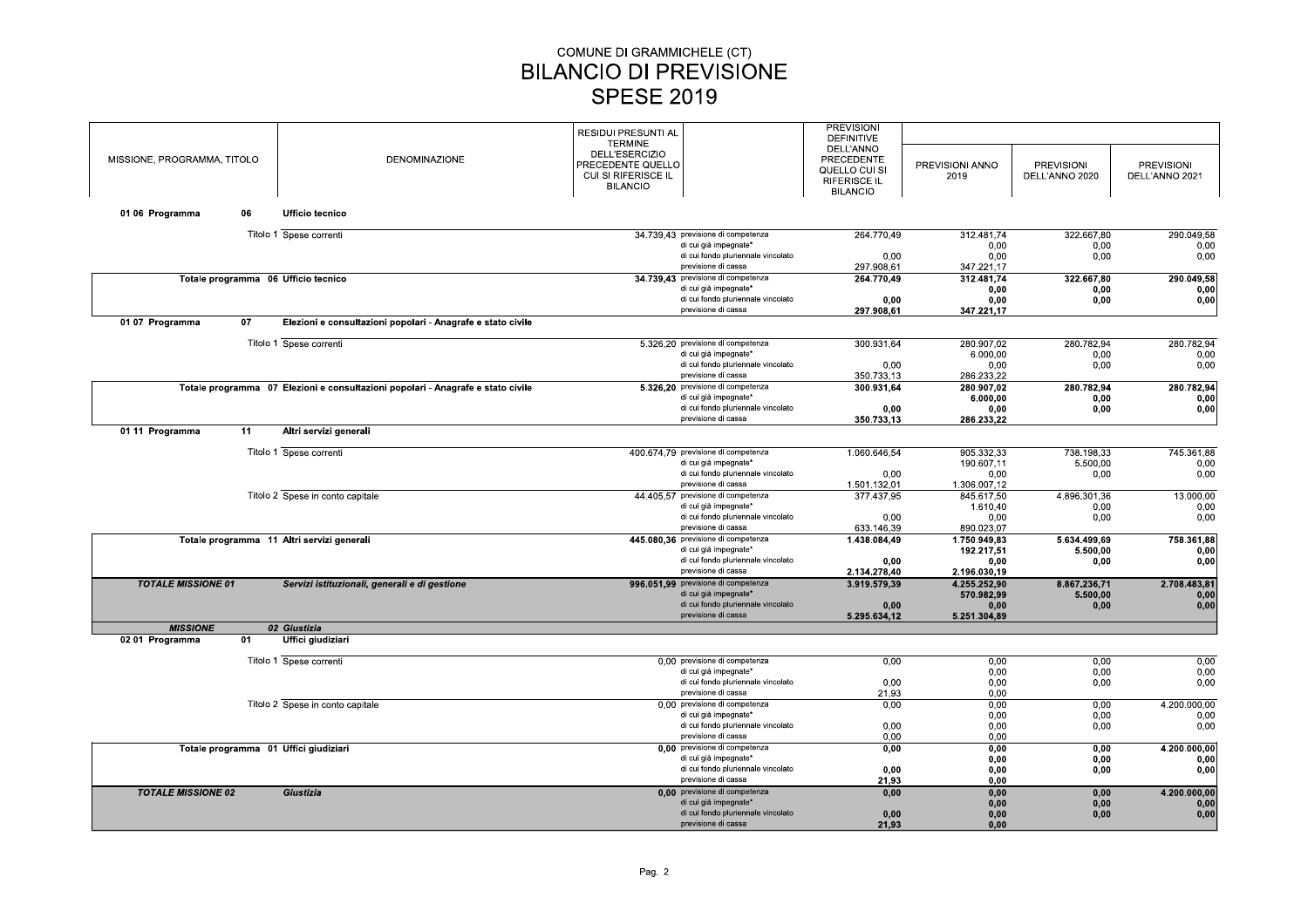|                             |    |                                                                                 |                            |                                                             | <b>PREVISIONI</b>   |                    |                    |                   |
|-----------------------------|----|---------------------------------------------------------------------------------|----------------------------|-------------------------------------------------------------|---------------------|--------------------|--------------------|-------------------|
|                             |    |                                                                                 | <b>RESIDUI PRESUNTI AL</b> |                                                             | <b>DEFINITIVE</b>   |                    |                    |                   |
|                             |    |                                                                                 | <b>TERMINE</b>             |                                                             | DELL'ANNO           |                    |                    |                   |
| MISSIONE, PROGRAMMA, TITOLO |    | <b>DENOMINAZIONE</b>                                                            | DELL'ESERCIZIO             |                                                             | <b>PRECEDENTE</b>   |                    |                    |                   |
|                             |    |                                                                                 | PRECEDENTE QUELLO          |                                                             | QUELLO CUI SI       | PREVISIONI ANNO    | <b>PREVISIONI</b>  | <b>PREVISIONI</b> |
|                             |    |                                                                                 | CUI SI RIFERISCE IL        |                                                             | <b>RIFERISCE IL</b> | 2019               | DELL'ANNO 2020     | DELL'ANNO 2021    |
|                             |    |                                                                                 | <b>BILANCIO</b>            |                                                             | <b>BILANCIO</b>     |                    |                    |                   |
|                             |    |                                                                                 |                            |                                                             |                     |                    |                    |                   |
| 01 06 Programma             | 06 | Ufficio tecnico                                                                 |                            |                                                             |                     |                    |                    |                   |
|                             |    |                                                                                 |                            |                                                             |                     |                    |                    |                   |
|                             |    | Titolo 1 Spese correnti                                                         |                            | 34.739.43 previsione di competenza<br>di cui già impegnate* | 264.770,49          | 312.481.74<br>0.00 | 322.667,80<br>0.00 | 290.049,58        |
|                             |    |                                                                                 |                            | di cui fondo pluriennale vincolato                          | 0.00                | 0.00               | 0.00               | 0,00<br>0,00      |
|                             |    |                                                                                 |                            | previsione di cassa                                         | 297.908,61          | 347.221,17         |                    |                   |
|                             |    | Totale programma 06 Ufficio tecnico                                             |                            | 34.739,43 previsione di competenza                          | 264.770,49          | 312.481,74         | 322.667,80         | 290.049,58        |
|                             |    |                                                                                 |                            | di cui già impegnate*                                       |                     | 0.00               | 0,00               | 0,00              |
|                             |    |                                                                                 |                            | di cui fondo pluriennale vincolato                          | 0.00                | 0,00               | 0,00               | 0,00              |
|                             |    |                                                                                 |                            | previsione di cassa                                         | 297.908,61          | 347.221,17         |                    |                   |
| 01 07 Programma             | 07 | Elezioni e consultazioni popolari - Anagrafe e stato civile                     |                            |                                                             |                     |                    |                    |                   |
|                             |    |                                                                                 |                            |                                                             |                     |                    |                    |                   |
|                             |    | Titolo 1 Spese correnti                                                         |                            | 5.326.20 previsione di competenza                           | 300.931.64          | 280.907.02         | 280.782.94         | 280.782.94        |
|                             |    |                                                                                 |                            | di cui già impegnate*                                       |                     | 6.000,00           | 0,00               | 0,00              |
|                             |    |                                                                                 |                            | di cui fondo pluriennale vincolato                          | 0,00                | 0,00               | 0,00               | 0,00              |
|                             |    |                                                                                 |                            | previsione di cassa                                         | 350.733,13          | 286.233,22         |                    |                   |
|                             |    | Totale programma 07 Elezioni e consultazioni popolari - Anagrafe e stato civile |                            | 5.326,20 previsione di competenza                           | 300.931,64          | 280.907.02         | 280.782,94         | 280.782,94        |
|                             |    |                                                                                 |                            | di cui già impegnate*                                       |                     | 6.000,00           | 0,00               | 0,00              |
|                             |    |                                                                                 |                            | di cui fondo pluriennale vincolato                          | 0,00                | 0,00               | 0,00               | 0,00              |
|                             |    |                                                                                 |                            | previsione di cassa                                         | 350.733,13          | 286.233,22         |                    |                   |
| 01 11 Programma             | 11 | Altri servizi generali                                                          |                            |                                                             |                     |                    |                    |                   |
|                             |    | Titolo 1 Spese correnti                                                         |                            | 400.674,79 previsione di competenza                         | 1.060.646,54        | 905.332,33         | 738.198,33         | 745.361,88        |
|                             |    |                                                                                 |                            | di cui già impegnate*                                       |                     | 190.607.11         | 5.500,00           | 0,00              |
|                             |    |                                                                                 |                            | di cui fondo pluriennale vincolato                          | 0.00                | 0.00               | 0.00               | 0,00              |
|                             |    |                                                                                 |                            | previsione di cassa                                         | 1.501.132,01        | 1.306.007,12       |                    |                   |
|                             |    | Titolo 2 Spese in conto capitale                                                |                            | 44.405,57 previsione di competenza                          | 377.437,95          | 845.617,50         | 4.896.301,36       | 13.000,00         |
|                             |    |                                                                                 |                            | di cui già impegnate*                                       |                     | 1.610,40           | 0,00               | 0,00              |
|                             |    |                                                                                 |                            | di cui fondo pluriennale vincolato                          | 0,00                | 0,00               | 0,00               | 0,00              |
|                             |    |                                                                                 |                            | previsione di cassa                                         | 633.146.39          | 890.023,07         |                    |                   |
|                             |    | Totale programma 11 Altri servizi generali                                      |                            | 445.080,36 previsione di competenza                         | 1.438.084,49        | 1.750.949,83       | 5.634.499,69       | 758.361,88        |
|                             |    |                                                                                 |                            | di cui già impegnate*                                       |                     | 192.217,51         | 5.500,00           | 0,00              |
|                             |    |                                                                                 |                            | di cui fondo pluriennale vincolato                          | 0,00                | 0,00               | 0,00               | 0,00              |
|                             |    |                                                                                 |                            | previsione di cassa                                         | 2.134.278.40        | 2.196.030.19       |                    |                   |
| <b>TOTALE MISSIONE 01</b>   |    | Servizi istituzionali, generali e di gestione                                   |                            | 996.051.99 previsione di competenza                         | 3.919.579,39        | 4.255.252.90       | 8.867.236,71       | 2.708.483,81      |
|                             |    |                                                                                 |                            | di cui già impegnate*                                       |                     | 570.982,99         | 5.500,00           | 0,00              |
|                             |    |                                                                                 |                            | di cui fondo pluriennale vincolato                          | 0.00                | 0.00               | 0,00               | 0,00              |
|                             |    |                                                                                 |                            | previsione di cassa                                         | 5.295.634,12        | 5.251.304,89       |                    |                   |
| <b>MISSIONE</b>             |    | 02 Giustizia                                                                    |                            |                                                             |                     |                    |                    |                   |
| 02 01 Programma             | 01 | Uffici giudiziari                                                               |                            |                                                             |                     |                    |                    |                   |
|                             |    |                                                                                 |                            |                                                             |                     |                    |                    |                   |
|                             |    | Titolo 1 Spese correnti                                                         |                            | 0,00 previsione di competenza<br>di cui già impegnate*      | 0,00                | 0.00               | 0.00               | 0.00              |
|                             |    |                                                                                 |                            | di cui fondo pluriennale vincolato                          | 0,00                | 0,00<br>0,00       | 0,00               | 0,00              |
|                             |    |                                                                                 |                            | previsione di cassa                                         | 21,93               | 0,00               | 0,00               | 0,00              |
|                             |    |                                                                                 |                            | 0.00 previsione di competenza                               |                     |                    |                    | 4.200.000,00      |
|                             |    | Titolo 2 Spese in conto capitale                                                |                            | di cui già impegnate*                                       | 0,00                | 0,00<br>0,00       | 0,00<br>0,00       | 0,00              |
|                             |    |                                                                                 |                            | di cui fondo pluriennale vincolato                          | 0.00                | 0.00               | 0,00               | 0,00              |
|                             |    |                                                                                 |                            | previsione di cassa                                         | 0,00                | 0,00               |                    |                   |
|                             |    | Totale programma 01 Uffici giudiziari                                           |                            | 0,00 previsione di competenza                               | 0,00                | 0,00               | 0,00               | 4.200.000,00      |
|                             |    |                                                                                 |                            | di cui già impegnate*                                       |                     | 0,00               | 0,00               |                   |
|                             |    |                                                                                 |                            | di cui fondo pluriennale vincolato                          | 0.00                | 0.00               | 0.00               | 0,00<br>0,00      |
|                             |    |                                                                                 |                            | previsione di cassa                                         | 21,93               | 0,00               |                    |                   |
| <b>TOTALE MISSIONE 02</b>   |    | Giustizia                                                                       |                            | 0.00 previsione di competenza                               |                     |                    |                    | 4.200.000,00      |
|                             |    |                                                                                 |                            | di cui già impegnate*                                       | 0,00                | 0,00<br>0.00       | 0,00<br>0.00       |                   |
|                             |    |                                                                                 |                            | di cui fondo pluriennale vincolato                          | 0,00                | 0,00               | 0,00               | 0,00<br>0,00      |
|                             |    |                                                                                 |                            | previsione di cassa                                         | 2193                | n nn               |                    |                   |
|                             |    |                                                                                 |                            |                                                             |                     |                    |                    |                   |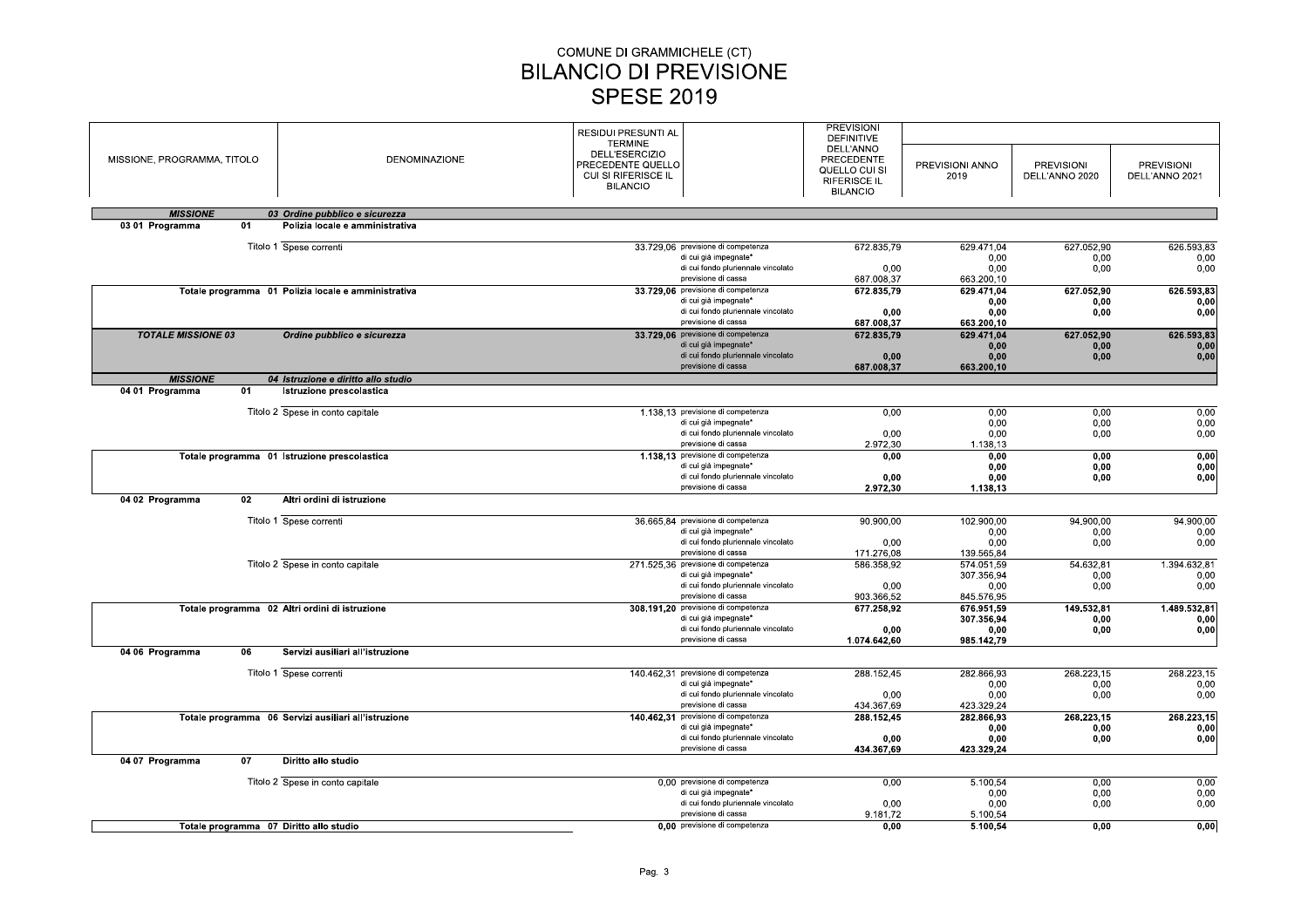# COMUNE DI GRAMMICHELE (CT)<br>
SILANCIO DI PREVISIONE<br>
SPESE 2019<br>
RESIDUI PRESUNTI AL<br>
TERMINE<br>
DELL'ESERCIZIO<br>
PRECEDENTE QUELE<br>
PRECEDENTE QUELE<br>
CUI SI RIFERISCE IL

| MISSIONE, PROGRAMMA, TITOLO                    |                                                             | <b>SPESE 2019</b>                                           |                                                                                                                           |                                                                   |                                                |                                     |                                     |
|------------------------------------------------|-------------------------------------------------------------|-------------------------------------------------------------|---------------------------------------------------------------------------------------------------------------------------|-------------------------------------------------------------------|------------------------------------------------|-------------------------------------|-------------------------------------|
|                                                | DENOMINAZIONE                                               | RESIDUI PRESUNTI AL<br><b>TERMINE</b><br>DELL'ESERCIZIO     |                                                                                                                           | <b>PREVISIONI</b><br><b>DEFINITIVE</b><br>DELL'ANNO<br>PRECEDENTE |                                                |                                     |                                     |
|                                                |                                                             | PRECEDENTE QUELLO<br>CUI SI RIFERISCE IL<br><b>BILANCIO</b> |                                                                                                                           | QUELLO CUI SI<br><b>RIFERISCE IL</b><br><b>BILANCIO</b>           | PREVISIONI ANNO<br>2019                        | <b>PREVISIONI</b><br>DELL'ANNO 2020 | <b>PREVISIONI</b><br>DELL'ANNO 2021 |
| <b>MISSIONE</b>                                | 03 Ordine pubblico e sicurezza                              |                                                             |                                                                                                                           |                                                                   |                                                |                                     |                                     |
| 03 01 Programma<br>01                          | Polizia locale e amministrativa                             |                                                             |                                                                                                                           |                                                                   |                                                |                                     |                                     |
|                                                | Titolo 1 Spese correnti                                     |                                                             | 33.729,06 previsione di competenza<br>di cui già impegnate*<br>di cui fondo pluriennale vincolato<br>previsione di cassa  | 672.835,79<br>0,00<br>687.008,37                                  | 629.471,04<br>0,00<br>0,00<br>663.200,10       | 627.052,90<br>0,00<br>0,00          | 626.593,83<br>0,00<br>0,00          |
|                                                | Totale programma 01 Polizia locale e amministrativa         |                                                             | 33.729,06 previsione di competenza<br>di cui già impegnate*<br>di cui fondo pluriennale vincolato<br>previsione di cassa  | 672.835,79<br>0,00<br>687.008,37                                  | 629.471,04<br>0,00<br>0,00<br>663.200,10       | 627.052,90<br>0,00<br>0,00          | 626.593,83<br>0,00<br>0,00          |
| <b>TOTALE MISSIONE 03</b>                      | Ordine pubblico e sicurezza                                 |                                                             | 33.729,06 previsione di competenza<br>di cui già impegnate*<br>di cui fondo pluriennale vincolato                         | 672.835,79<br>0,00                                                | 629.471,04<br>0,00<br>0,00                     | 627.052,90<br>0,00<br>0,00          | 626.593,83<br>0,00<br>0,00          |
| <b>MISSIONE</b>                                | 04 Istruzione e diritto allo studio                         |                                                             | previsione di cassa                                                                                                       | 687.008,37                                                        | 663.200,10                                     |                                     |                                     |
| 04 01 Programma<br>01                          | Istruzione prescolastica                                    |                                                             |                                                                                                                           |                                                                   |                                                |                                     |                                     |
|                                                | Titolo 2 Spese in conto capitale                            |                                                             | 1.138,13 previsione di competenza<br>di cui già impegnate*<br>di cui fondo pluriennale vincolato<br>previsione di cassa   | 0,00<br>0,00<br>2.972,30                                          | 0,00<br>0,00<br>0.00<br>1.138,13               | 0,00<br>0,00<br>0,00                | 0,00<br>0,00<br>0,00                |
| Totale programma 01 Istruzione prescolastica   |                                                             |                                                             | 1.138,13 previsione di competenza<br>di cui già impegnate*<br>di cui fondo pluriennale vincolato                          | 0,00<br>0,00                                                      | 0,00<br>0,00<br>0,00                           | 0,00<br>0,00<br>0,00                | 0,00<br>0,00<br>0,00                |
| 04 02 Programma<br>02                          | Altri ordini di istruzione                                  |                                                             | previsione di cassa                                                                                                       | 2.972,30                                                          | 1.138,13                                       |                                     |                                     |
|                                                | Titolo 1 Spese correnti                                     |                                                             | 36.665,84 previsione di competenza<br>di cui già impegnate*<br>di cui fondo pluriennale vincolato                         | 90.900,00<br>0,00                                                 | 102.900,00<br>0,00<br>0,00                     | 94.900,00<br>0,00<br>0,00           | 94.900,00<br>0,00<br>0,00           |
|                                                | Titolo 2 Spese in conto capitale                            |                                                             | previsione di cassa<br>271.525,36 previsione di competenza<br>di cui già impegnate*<br>di cui fondo pluriennale vincolato | 171.276,08<br>586.358,92<br>0,00                                  | 139.565,84<br>574.051,59<br>307.356,94<br>0,00 | 54.632,81<br>0,00<br>0,00           | 1.394.632,81<br>0,00<br>0,00        |
| Totale programma 02 Altri ordini di istruzione |                                                             |                                                             | previsione di cassa<br>308.191,20 previsione di competenza                                                                | 903.366,52<br>677.258,92                                          | 845.576,95<br>676.951,59                       | 149.532,81                          | 1.489.532,81                        |
|                                                |                                                             |                                                             | di cui già impegnate*<br>di cui fondo pluriennale vincolato<br>previsione di cassa                                        | 0,00<br>1.074.642,60                                              | 307.356,94<br>0,00<br>985.142,79               | 0,00<br>0,00                        | 0,00<br>0,00                        |
| 04 06 Programma<br>06                          | Servizi ausiliari all'istruzione<br>Titolo 1 Spese correnti |                                                             | 140.462,31 previsione di competenza                                                                                       |                                                                   |                                                |                                     |                                     |
|                                                |                                                             |                                                             | di cui già impegnate*<br>di cui fondo pluriennale vincolato<br>previsione di cassa                                        | 288.152,45<br>0,00<br>434.367,69                                  | 282.866,93<br>0,00<br>0,00<br>423.329,24       | 268.223,15<br>0,00<br>0,00          | 268.223,15<br>0,00<br>0,00          |
|                                                | Totale programma 06 Servizi ausiliari all'istruzione        |                                                             | 140.462,31 previsione di competenza<br>di cui già impegnate*<br>di cui fondo pluriennale vincolato<br>previsione di cassa | 288.152,45<br>0,00<br>434.367,69                                  | 282.866,93<br>0,00<br>0,00<br>423.329,24       | 268.223,15<br>0,00<br>0,00          | 268.223,15<br>0,00<br>0,00          |
|                                                | Diritto allo studio                                         |                                                             |                                                                                                                           |                                                                   |                                                |                                     |                                     |
| 04 07 Programma<br>07                          |                                                             |                                                             |                                                                                                                           |                                                                   |                                                |                                     | 0,00                                |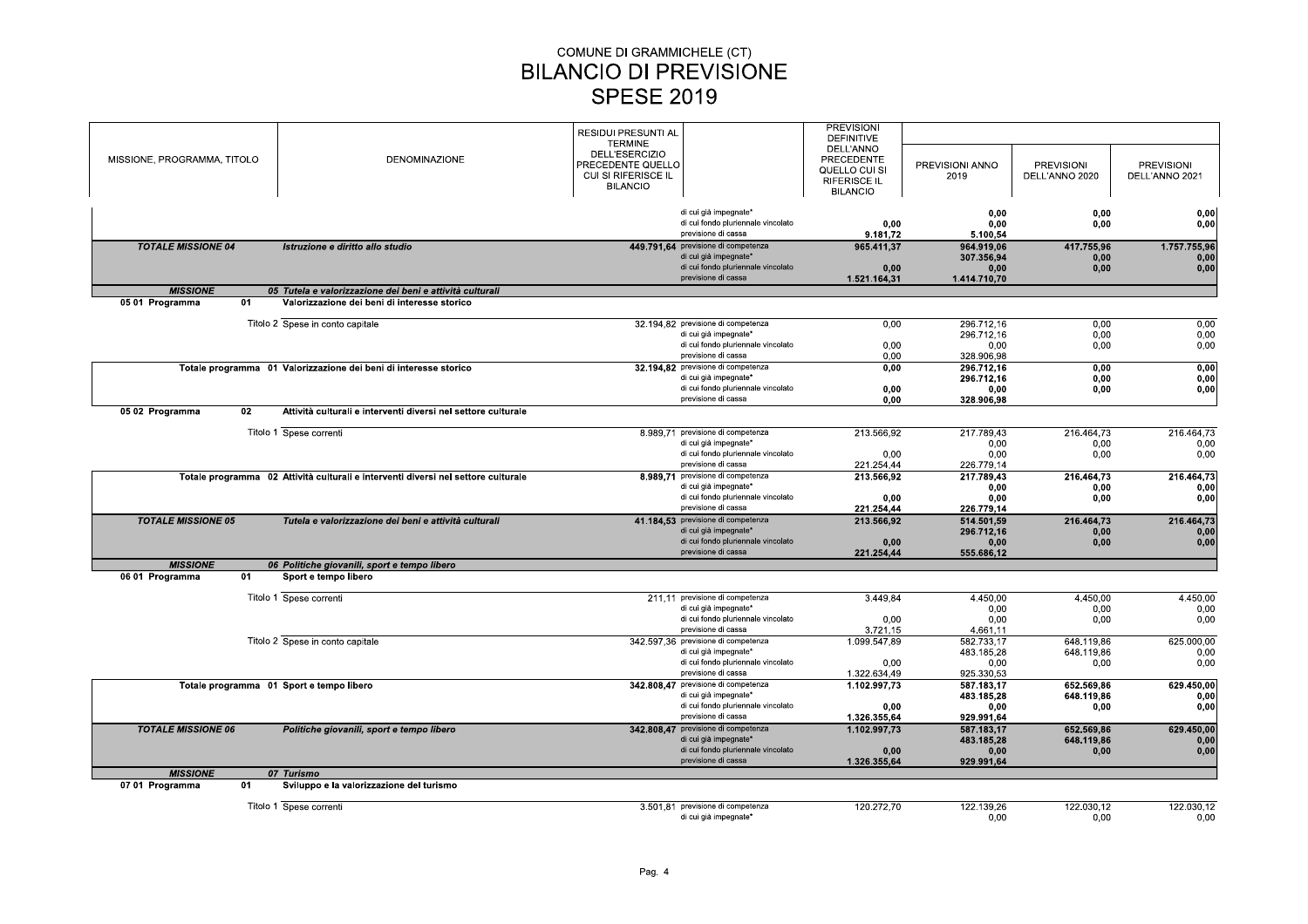|                             |                                                                                   | <b>RESIDUI PRESUNTI AL</b>                                   | <b>PREVISIONI</b>              |                          |                                     |                                     |
|-----------------------------|-----------------------------------------------------------------------------------|--------------------------------------------------------------|--------------------------------|--------------------------|-------------------------------------|-------------------------------------|
|                             |                                                                                   | <b>TERMINE</b>                                               | <b>DEFINITIVE</b><br>DELL'ANNO |                          |                                     |                                     |
| MISSIONE, PROGRAMMA, TITOLO | <b>DENOMINAZIONE</b>                                                              | DELL'ESERCIZIO                                               | <b>PRECEDENTE</b>              |                          |                                     |                                     |
|                             |                                                                                   | PRECEDENTE QUELLO<br>CUI SI RIFERISCE IL                     | QUELLO CUI SI                  | PREVISIONI ANNO<br>2019  | <b>PREVISIONI</b><br>DELL'ANNO 2020 | <b>PREVISIONI</b><br>DELL'ANNO 2021 |
|                             |                                                                                   | <b>BILANCIO</b>                                              | <b>RIFERISCE IL</b>            |                          |                                     |                                     |
|                             |                                                                                   |                                                              | <b>BILANCIO</b>                |                          |                                     |                                     |
|                             |                                                                                   | di cui già impegnate*                                        |                                | 0.00                     | 0.00                                | 0,00                                |
|                             |                                                                                   | di cui fondo pluriennale vincolato                           | 0,00                           | 0,00                     | 0,00                                | 0,00                                |
|                             |                                                                                   | previsione di cassa                                          | 9.181,72                       | 5.100,54                 |                                     |                                     |
| <b>TOTALE MISSIONE 04</b>   | Istruzione e diritto allo studio                                                  | 449.791.64 previsione di competenza<br>di cui già impegnate* | 965.411,37                     | 964.919.06               | 417.755,96                          | 1.757.755,96                        |
|                             |                                                                                   | di cui fondo pluriennale vincolato                           | 0.00                           | 307.356,94<br>0.00       | 0.00<br>0.00                        | 0.00<br>0,00                        |
|                             |                                                                                   | previsione di cassa                                          | 1.521.164,31                   | 1.414.710,70             |                                     |                                     |
| <b>MISSIONE</b>             | 05 Tutela e valorizzazione dei beni e attività culturali                          |                                                              |                                |                          |                                     |                                     |
| 05 01 Programma<br>01       | Valorizzazione dei beni di interesse storico                                      |                                                              |                                |                          |                                     |                                     |
|                             |                                                                                   |                                                              |                                |                          |                                     |                                     |
|                             | Titolo 2 Spese in conto capitale                                                  | 32.194.82 previsione di competenza<br>di cui già impegnate*  | 0,00                           | 296.712,16<br>296.712.16 | 0,00<br>0.00                        | 0,00<br>0.00                        |
|                             |                                                                                   | di cui fondo pluriennale vincolato                           | 0.00                           | 0.00                     | 0.00                                | 0,00                                |
|                             |                                                                                   | previsione di cassa                                          | 0,00                           | 328.906,98               |                                     |                                     |
|                             | Totale programma 01 Valorizzazione dei beni di interesse storico                  | 32.194,82 previsione di competenza                           | 0.00                           | 296.712.16               | 0,00                                | 0,00                                |
|                             |                                                                                   | di cui già impegnate*                                        |                                | 296.712,16               | 0,00                                | 0,00                                |
|                             |                                                                                   | di cui fondo pluriennale vincolato                           | 0.00                           | 0.00                     | 0.00                                | 0,00                                |
|                             |                                                                                   | previsione di cassa                                          | 0.00                           | 328.906,98               |                                     |                                     |
| 05 02 Programma<br>02       | Attività culturali e interventi diversi nel settore culturale                     |                                                              |                                |                          |                                     |                                     |
|                             | Titolo 1 Spese correnti                                                           | 8.989,71 previsione di competenza                            | 213.566,92                     | 217.789,43               | 216.464,73                          | 216.464,73                          |
|                             |                                                                                   | di cui già impegnate*                                        |                                | 0,00                     | 0,00                                | 0,00                                |
|                             |                                                                                   | di cui fondo pluriennale vincolato                           | 0.00                           | 0.00                     | 0,00                                | 0,00                                |
|                             |                                                                                   | previsione di cassa                                          | 221.254,44                     | 226.779,14               |                                     |                                     |
|                             | Totale programma 02 Attività culturali e interventi diversi nel settore culturale | 8.989,71 previsione di competenza                            | 213.566,92                     | 217.789,43               | 216.464,73                          | 216.464,73                          |
|                             |                                                                                   | di cui già impegnate*<br>di cui fondo pluriennale vincolato  |                                | 0.00                     | 0,00                                | 0.00                                |
|                             |                                                                                   | previsione di cassa                                          | 0.00<br>221.254,44             | 0.00<br>226.779,14       | 0.00                                | 0,00                                |
| <b>TOTALE MISSIONE 05</b>   | Tutela e valorizzazione dei beni e attività culturali                             | 41.184,53 previsione di competenza                           | 213.566,92                     | 514.501,59               | 216.464,73                          | 216.464,73                          |
|                             |                                                                                   | di cui già impegnate*                                        |                                | 296.712.16               | 0,00                                | 0,00                                |
|                             |                                                                                   | di cui fondo pluriennale vincolato                           | 0,00                           | 0,00                     | 0.00                                | 0,00                                |
|                             |                                                                                   | previsione di cassa                                          | 221.254.44                     | 555.686,12               |                                     |                                     |
| <b>MISSIONE</b>             | 06 Politiche giovanili, sport e tempo libero                                      |                                                              |                                |                          |                                     |                                     |
| 01<br>06 01 Programma       | Sport e tempo libero                                                              |                                                              |                                |                          |                                     |                                     |
|                             | Titolo 1 Spese correnti                                                           | 211.11 previsione di competenza                              | 3.449,84                       | 4.450,00                 | 4.450,00                            | 4.450,00                            |
|                             |                                                                                   | di cui già impegnate*                                        |                                | 0,00                     | 0,00                                | 0,00                                |
|                             |                                                                                   | di cui fondo pluriennale vincolato                           | 0,00                           | 0.00                     | 0.00                                | 0.00                                |
|                             |                                                                                   | previsione di cassa                                          | 3.721,15                       | 4.661.11                 |                                     |                                     |
|                             | Titolo 2 Spese in conto capitale                                                  | 342.597.36 previsione di competenza                          | 1.099.547.89                   | 582.733.17               | 648.119.86                          | 625.000,00                          |
|                             |                                                                                   | di cui già impegnate*                                        |                                | 483.185,28               | 648.119.86                          | 0,00                                |
|                             |                                                                                   | di cui fondo pluriennale vincolato<br>previsione di cassa    | 0,00<br>1.322.634,49           | 0,00<br>925.330,53       | 0,00                                | 0,00                                |
|                             | Totale programma 01 Sport e tempo libero                                          | 342.808.47 previsione di competenza                          | 1.102.997,73                   | 587.183.17               | 652.569,86                          | 629.450,00                          |
|                             |                                                                                   | di cui già impegnate*                                        |                                | 483.185,28               | 648.119,86                          | 0,00                                |
|                             |                                                                                   | di cui fondo pluriennale vincolato                           | 0.00                           | 0,00                     | 0,00                                | 0,00                                |
|                             |                                                                                   | previsione di cassa                                          | 1.326.355.64                   | 929.991.64               |                                     |                                     |
| <b>TOTALE MISSIONE 06</b>   | Politiche giovanili, sport e tempo libero                                         | 342.808,47 previsione di competenza                          | 1.102.997.73                   | 587.183,17               | 652.569.86                          | 629.450,00                          |
|                             |                                                                                   | di cui già impegnate*                                        |                                | 483.185.28               | 648.119.86                          | 0.00                                |
|                             |                                                                                   | di cui fondo pluriennale vincolato<br>previsione di cassa    | 0,00                           | 0,00                     | 0,00                                | 0,00                                |
| <b>MISSIONE</b>             | 07 Turismo                                                                        |                                                              | 1.326.355,64                   | 929.991,64               |                                     |                                     |
| 07 01 Programma<br>01       | Sviluppo e la valorizzazione del turismo                                          |                                                              |                                |                          |                                     |                                     |
|                             |                                                                                   |                                                              |                                |                          |                                     |                                     |
|                             | Titolo 1 Spese correnti                                                           | 3.501.81 previsione di competenza                            | 120.272.70                     | 122.139.26               | 122.030.12                          | 122.030.12                          |
|                             |                                                                                   | di cui già impegnate*                                        |                                | 0.00                     | 0.00                                | 0.00                                |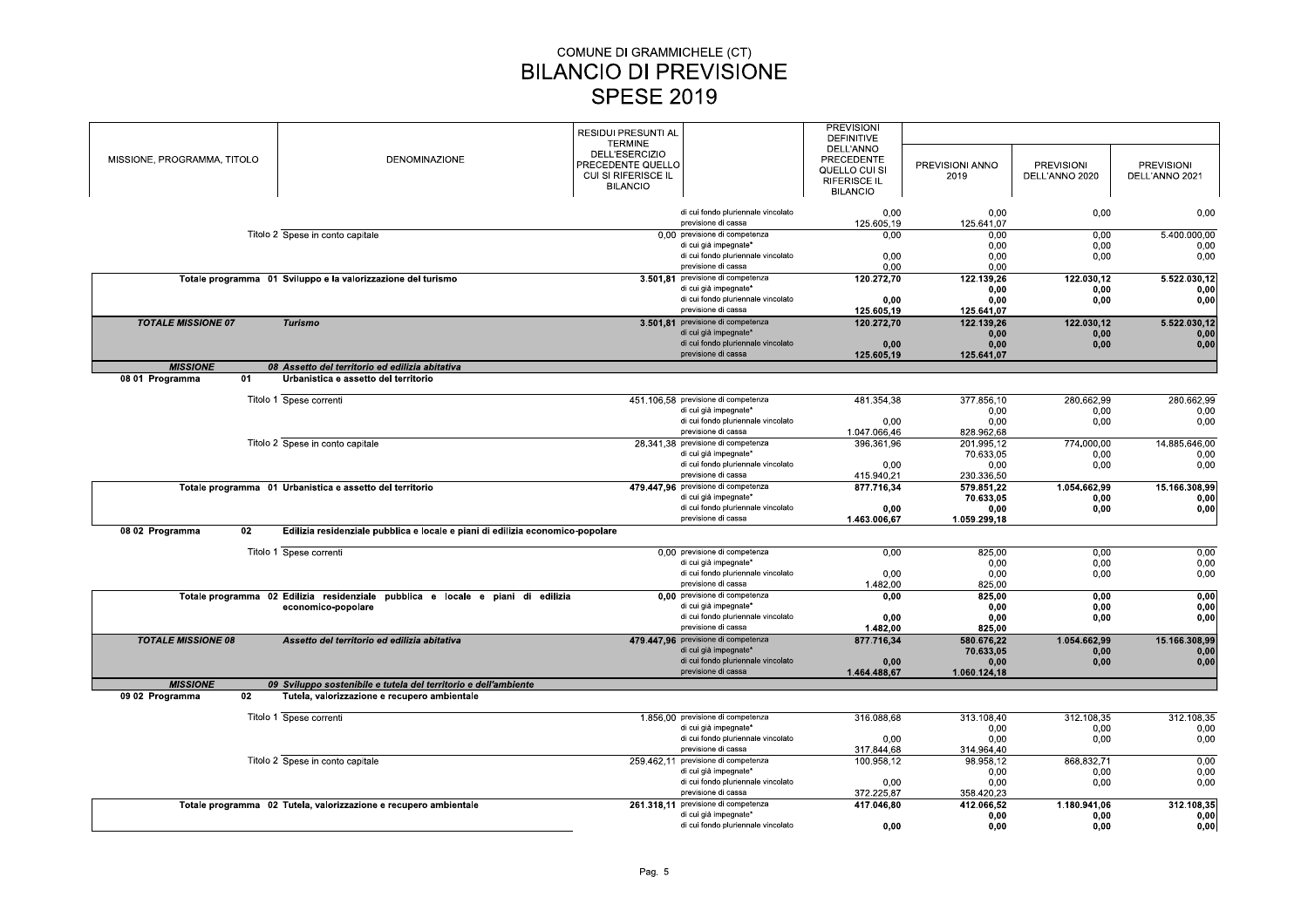|                                    |                                                                                 | <b>RESIDUI PRESUNTI AL</b><br><b>TERMINE</b>                                  | <b>PREVISIONI</b><br><b>DEFINITIVE</b>                                             |                          |                                     |                                     |
|------------------------------------|---------------------------------------------------------------------------------|-------------------------------------------------------------------------------|------------------------------------------------------------------------------------|--------------------------|-------------------------------------|-------------------------------------|
| MISSIONE, PROGRAMMA, TITOLO        | <b>DENOMINAZIONE</b>                                                            | DELL'ESERCIZIO<br>PRECEDENTE QUELLO<br>CUI SI RIFERISCE IL<br><b>BILANCIO</b> | DELL'ANNO<br>PRECEDENTE<br>QUELLO CUI SI<br><b>RIFERISCE IL</b><br><b>BILANCIO</b> | PREVISIONI ANNO<br>2019  | <b>PREVISIONI</b><br>DELL'ANNO 2020 | <b>PREVISIONI</b><br>DELL'ANNO 2021 |
|                                    |                                                                                 | di cui fondo pluriennale vincolato<br>previsione di cassa                     | 0.00<br>125.605,19                                                                 | 0.00<br>125.641,07       | 0,00                                | 0,00                                |
|                                    | Titolo 2 Spese in conto capitale                                                | 0,00 previsione di competenza                                                 | 0.00                                                                               | 0,00                     | 0,00                                | 5.400.000,00                        |
|                                    |                                                                                 | di cui già impegnate*                                                         |                                                                                    | 0.00                     | 0.00                                | 0,00                                |
|                                    |                                                                                 | di cui fondo pluriennale vincolato<br>previsione di cassa                     | 0,00<br>0,00                                                                       | 0.00<br>0,00             | 0,00                                | 0,00                                |
|                                    | Totale programma 01 Sviluppo e la valorizzazione del turismo                    | 3.501,81 previsione di competenza                                             | 120.272,70                                                                         | 122.139,26               | 122.030,12                          | 5.522.030,12                        |
|                                    |                                                                                 | di cui già impegnate*                                                         |                                                                                    | 0,00                     | 0,00                                | 0,00                                |
|                                    |                                                                                 | di cui fondo pluriennale vincolato                                            | 0,00                                                                               | 0.00                     | 0,00                                | 0,00                                |
|                                    |                                                                                 | previsione di cassa                                                           | 125.605,19                                                                         | 125.641,07               |                                     |                                     |
| <b>TOTALE MISSIONE 07</b>          | <b>Turismo</b>                                                                  | 3.501.81 previsione di competenza<br>di cui già impegnate*                    | 120.272,70                                                                         | 122.139,26<br>0,00       | 122.030,12<br>0.00                  | 5.522.030,12<br>0,00                |
|                                    |                                                                                 | di cui fondo pluriennale vincolato                                            | 0.00                                                                               | 0.00                     | 0,00                                | 0,00                                |
|                                    |                                                                                 | previsione di cassa                                                           | 125.605,19                                                                         | 125.641,07               |                                     |                                     |
| <b>MISSIONE</b>                    | 08 Assetto del territorio ed edilizia abitativa                                 |                                                                               |                                                                                    |                          |                                     |                                     |
| 08 01 Programma<br>01              | Urbanistica e assetto del territorio                                            |                                                                               |                                                                                    |                          |                                     |                                     |
|                                    | Titolo 1 Spese correnti                                                         | 451.106.58 previsione di competenza                                           | 481.354,38                                                                         | 377.856,10               | 280.662,99                          | 280.662,99                          |
|                                    |                                                                                 | di cui già impegnate*                                                         |                                                                                    | 0,00                     | 0,00                                | 0,00                                |
|                                    |                                                                                 | di cui fondo pluriennale vincolato                                            | 0.00                                                                               | 0.00                     | 0,00                                | 0,00                                |
|                                    |                                                                                 | previsione di cassa                                                           | 1.047.066,46                                                                       | 828.962,68               |                                     |                                     |
|                                    | Titolo 2 Spese in conto capitale                                                | 28.341,38 previsione di competenza                                            | 396.361,96                                                                         | 201.995,12               | 774.000,00                          | 14.885.646,00                       |
|                                    |                                                                                 | di cui già impegnate*<br>di cui fondo pluriennale vincolato                   |                                                                                    | 70.633,05                | 0,00                                | 0,00                                |
|                                    |                                                                                 | previsione di cassa                                                           | 0,00<br>415.940,21                                                                 | 0,00<br>230.336,50       | 0,00                                | 0,00                                |
|                                    | Totale programma 01 Urbanistica e assetto del territorio                        | 479.447,96 previsione di competenza                                           | 877.716,34                                                                         | 579.851,22               | 1.054.662,99                        | 15.166.308,99                       |
|                                    |                                                                                 | di cui già impegnate*                                                         |                                                                                    | 70.633,05                | 0,00                                | 0,00                                |
|                                    |                                                                                 | di cui fondo pluriennale vincolato                                            | 0.00                                                                               | 0.00                     | 0.00                                | 0,00                                |
|                                    |                                                                                 | previsione di cassa                                                           | 1.463.006,67                                                                       | 1.059.299.18             |                                     |                                     |
| 08 02 Programma<br>02              | Edilizia residenziale pubblica e locale e piani di edilizia economico-popolare  |                                                                               |                                                                                    |                          |                                     |                                     |
|                                    | Titolo 1 Spese correnti                                                         | 0,00 previsione di competenza                                                 | 0.00                                                                               | 825,00                   | 0.00                                | 0,00                                |
|                                    |                                                                                 | di cui già impegnate*                                                         |                                                                                    | 0.00                     | 0.00                                | 0,00                                |
|                                    |                                                                                 | di cui fondo pluriennale vincolato<br>previsione di cassa                     | 0,00<br>1.482.00                                                                   | 0,00<br>825.00           | 0,00                                | 0,00                                |
|                                    | Totale programma 02 Edilizia residenziale pubblica e locale e piani di edilizia | 0,00 previsione di competenza                                                 | 0.00                                                                               | 825,00                   | 0.00                                | 0,00                                |
|                                    | economico-popolare                                                              | di cui già impegnate*                                                         |                                                                                    | 0.00                     | 0,00                                | 0,00                                |
|                                    |                                                                                 | di cui fondo pluriennale vincolato                                            | 0,00                                                                               | 0,00                     | 0,00                                | 0,00                                |
|                                    |                                                                                 | previsione di cassa                                                           | 1.482,00                                                                           | 825,00                   |                                     |                                     |
| <b>TOTALE MISSIONE 08</b>          | Assetto del territorio ed edilizia abitativa                                    | 479.447,96 previsione di competenza                                           | 877.716,34                                                                         | 580.676,22               | 1.054.662,99                        | 15.166.308,99                       |
|                                    |                                                                                 | di cui già impegnate*<br>di cui fondo pluriennale vincolato                   | 0,00                                                                               | 70.633.05<br>0,00        | 0.00<br>0,00                        | 0.00<br>0,00                        |
|                                    |                                                                                 | previsione di cassa                                                           | 1.464.488,67                                                                       | 1.060.124,18             |                                     |                                     |
| <b>MISSIONE</b>                    | 09 Sviluppo sostenibile e tutela del territorio e dell'ambiente                 |                                                                               |                                                                                    |                          |                                     |                                     |
| 02 <sub>2</sub><br>09 02 Programma | Tutela, valorizzazione e recupero ambientale                                    |                                                                               |                                                                                    |                          |                                     |                                     |
|                                    |                                                                                 |                                                                               |                                                                                    |                          |                                     |                                     |
|                                    | Titolo 1 Spese correnti                                                         | 1.856.00 previsione di competenza<br>di cui già impegnate*                    | 316.088,68                                                                         | 313.108,40<br>0.00       | 312.108,35<br>0,00                  | 312.108,35<br>0,00                  |
|                                    |                                                                                 | di cui fondo pluriennale vincolato                                            | 0,00                                                                               | 0,00                     | 0,00                                | 0,00                                |
|                                    |                                                                                 | previsione di cassa                                                           | 317.844.68                                                                         | 314.964,40               |                                     |                                     |
|                                    | Titolo 2 Spese in conto capitale                                                | 259.462,11 previsione di competenza                                           | 100.958,12                                                                         | 98.958,12                | 868.832,71                          | 0,00                                |
|                                    |                                                                                 | di cui già impegnate*                                                         |                                                                                    | 0,00                     | 0,00                                | 0,00                                |
|                                    |                                                                                 | di cui fondo pluriennale vincolato<br>previsione di cassa                     | 0,00                                                                               | 0.00                     | 0,00                                | 0,00                                |
|                                    | Totale programma 02 Tutela, valorizzazione e recupero ambientale                | 261.318.11 previsione di competenza                                           | 372.225,87<br>417.046,80                                                           | 358.420,23<br>412.066.52 | 1.180.941.06                        | 312.108,35                          |
|                                    |                                                                                 | di cui già impegnate*                                                         |                                                                                    | 0,00                     | 0,00                                | 0,00                                |
|                                    |                                                                                 | di cui fondo pluriennale vincolato                                            | 0,00                                                                               | 0,00                     | 0,00                                | 0,00                                |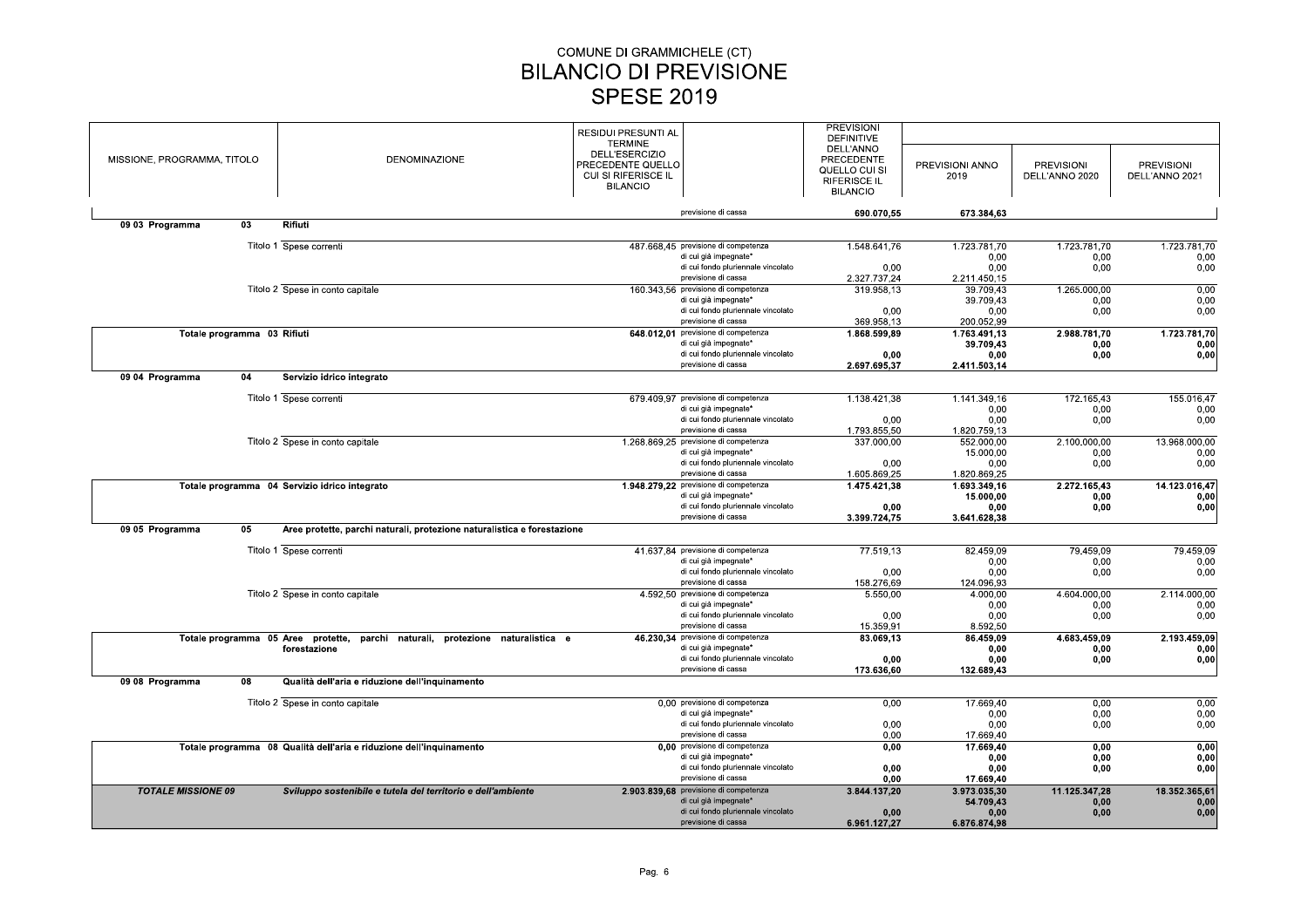|                             |                             |                                                                                                | RESIDUI PRESUNTI AL   |                                       | <b>PREVISIONI</b><br><b>DEFINITIVE</b> |                      |                   |                   |
|-----------------------------|-----------------------------|------------------------------------------------------------------------------------------------|-----------------------|---------------------------------------|----------------------------------------|----------------------|-------------------|-------------------|
|                             |                             |                                                                                                | <b>TERMINE</b>        |                                       | DELL'ANNO                              |                      |                   |                   |
| MISSIONE, PROGRAMMA, TITOLO |                             | DENOMINAZIONE                                                                                  | <b>DELL'ESERCIZIO</b> |                                       | PRECEDENTE                             |                      |                   |                   |
|                             |                             |                                                                                                | PRECEDENTE QUELLO     |                                       |                                        | PREVISIONI ANNO      | <b>PREVISIONI</b> | <b>PREVISIONI</b> |
|                             |                             |                                                                                                | CUI SI RIFERISCE IL   |                                       | QUELLO CUI SI                          | 2019                 | DELL'ANNO 2020    | DELL'ANNO 2021    |
|                             |                             |                                                                                                | <b>BILANCIO</b>       |                                       | <b>RIFERISCE IL</b>                    |                      |                   |                   |
|                             |                             |                                                                                                |                       |                                       | <b>BILANCIO</b>                        |                      |                   |                   |
|                             |                             |                                                                                                |                       | previsione di cassa                   | 690.070.55                             | 673.384,63           |                   |                   |
| 09 03 Programma             | 03                          | Rifiuti                                                                                        |                       |                                       |                                        |                      |                   |                   |
|                             |                             |                                                                                                |                       |                                       |                                        |                      |                   |                   |
|                             |                             | Titolo 1 Spese correnti                                                                        |                       | 487.668.45 previsione di competenza   | 1.548.641,76                           | 1.723.781,70         | 1.723.781.70      | 1.723.781.70      |
|                             |                             |                                                                                                |                       | di cui già impegnate*                 |                                        | 0,00                 | 0,00              | 0,00              |
|                             |                             |                                                                                                |                       | di cui fondo pluriennale vincolato    | 0,00                                   | 0,00                 | 0,00              | 0,00              |
|                             |                             |                                                                                                |                       | previsione di cassa                   | 2.327.737,24                           | 2.211.450,15         |                   |                   |
|                             |                             | Titolo 2 Spese in conto capitale                                                               |                       | 160.343,56 previsione di competenza   | 319.958,13                             | 39.709,43            | 1.265.000,00      | 0,00              |
|                             |                             |                                                                                                |                       | di cui già impegnate*                 |                                        | 39.709.43            | 0,00              | 0.00              |
|                             |                             |                                                                                                |                       | di cui fondo pluriennale vincolato    | 0,00                                   | 0,00                 | 0,00              | 0,00              |
|                             |                             |                                                                                                |                       | previsione di cassa                   | 369.958,13                             | 200.052,99           |                   |                   |
|                             | Totale programma 03 Rifiuti |                                                                                                |                       | 648.012,01 previsione di competenza   | 1.868.599.89                           | 1.763.491.13         | 2.988.781.70      | 1.723.781,70      |
|                             |                             |                                                                                                |                       | di cui già impegnate*                 |                                        | 39.709.43            | 0.00              | 0,00              |
|                             |                             |                                                                                                |                       | di cui fondo pluriennale vincolato    | 0,00                                   | 0,00                 | 0,00              | 0,00              |
|                             |                             |                                                                                                |                       | previsione di cassa                   | 2.697.695,37                           | 2.411.503.14         |                   |                   |
| 09 04 Programma             | 04                          | Servizio idrico integrato                                                                      |                       |                                       |                                        |                      |                   |                   |
|                             |                             |                                                                                                |                       |                                       |                                        |                      |                   |                   |
|                             |                             | Titolo 1 Spese correnti                                                                        |                       | 679.409,97 previsione di competenza   | 1.138.421,38                           | 1.141.349,16         | 172.165,43        | 155.016,47        |
|                             |                             |                                                                                                |                       | di cui già impegnate*                 |                                        | 0,00                 | 0,00              | 0,00              |
|                             |                             |                                                                                                |                       | di cui fondo pluriennale vincolato    | 0,00                                   | 0.00                 | 0,00              | 0,00              |
|                             |                             |                                                                                                |                       | previsione di cassa                   | 1.793.855,50                           | 1.820.759,13         |                   |                   |
|                             |                             | Titolo 2 Spese in conto capitale                                                               |                       | 1.268.869,25 previsione di competenza | 337.000,00                             | 552.000.00           | 2.100.000,00      | 13.968.000,00     |
|                             |                             |                                                                                                |                       | di cui già impegnate*                 |                                        | 15.000,00            | 0,00              | 0,00              |
|                             |                             |                                                                                                |                       | di cui fondo pluriennale vincolato    |                                        |                      |                   |                   |
|                             |                             |                                                                                                |                       | previsione di cassa                   | 0.00                                   | 0.00                 | 0.00              | 0,00              |
|                             |                             |                                                                                                |                       |                                       | 1.605.869,25                           | 1.820.869,25         |                   |                   |
|                             |                             | Totale programma 04 Servizio idrico integrato                                                  |                       | 1.948.279,22 previsione di competenza | 1.475.421,38                           | 1.693.349,16         | 2.272.165,43      | 14.123.016,47     |
|                             |                             |                                                                                                |                       | di cui già impegnate*                 |                                        | 15.000,00            | 0,00              | 0,00              |
|                             |                             |                                                                                                |                       | di cui fondo pluriennale vincolato    | 0,00                                   | 0.00                 | 0,00              | 0,00              |
|                             |                             |                                                                                                |                       | previsione di cassa                   | 3.399.724,75                           | 3.641.628,38         |                   |                   |
| 09 05 Programma             | 05                          | Aree protette, parchi naturali, protezione naturalistica e forestazione                        |                       |                                       |                                        |                      |                   |                   |
|                             |                             | Titolo 1 Spese correnti                                                                        |                       | 41.637.84 previsione di competenza    | 77.519,13                              | 82.459,09            | 79.459,09         | 79.459,09         |
|                             |                             |                                                                                                |                       | di cui già impegnate*                 |                                        | 0,00                 | 0,00              | 0,00              |
|                             |                             |                                                                                                |                       | di cui fondo pluriennale vincolato    | 0,00                                   | 0.00                 | 0,00              | 0,00              |
|                             |                             |                                                                                                |                       | previsione di cassa                   | 158.276.69                             | 124.096.93           |                   |                   |
|                             |                             | Titolo 2 Spese in conto capitale                                                               |                       | 4.592,50 previsione di competenza     | 5.550,00                               | 4.000,00             | 4.604.000,00      | 2.114.000,00      |
|                             |                             |                                                                                                |                       | di cui già impegnate*                 |                                        | 0.00                 | 0,00              | 0,00              |
|                             |                             |                                                                                                |                       | di cui fondo pluriennale vincolato    | 0.00                                   | 0.00                 | 0,00              | 0,00              |
|                             |                             |                                                                                                |                       | previsione di cassa                   | 15.359,91                              | 8.592,50             |                   |                   |
|                             |                             |                                                                                                |                       | 46.230,34 previsione di competenza    |                                        |                      | 4.683.459,09      | 2.193.459,09      |
|                             |                             | Totale programma 05 Aree protette, parchi naturali, protezione naturalistica e<br>forestazione |                       | di cui già impegnate*                 | 83.069,13                              | 86.459,09<br>0,00    | 0,00              | 0,00              |
|                             |                             |                                                                                                |                       | di cui fondo pluriennale vincolato    | 0.00                                   | 0,00                 | 0,00              | 0,00              |
|                             |                             |                                                                                                |                       | previsione di cassa                   | 173.636,60                             | 132.689,43           |                   |                   |
| 09 08 Programma             | 08                          | Qualità dell'aria e riduzione dell'inquinamento                                                |                       |                                       |                                        |                      |                   |                   |
|                             |                             |                                                                                                |                       |                                       |                                        |                      |                   |                   |
|                             |                             | Titolo 2 Spese in conto capitale                                                               |                       | 0.00 previsione di competenza         | 0,00                                   | 17.669,40            | 0,00              | 0,00              |
|                             |                             |                                                                                                |                       | di cui già impegnate*                 |                                        | 0,00                 | 0,00              | 0,00              |
|                             |                             |                                                                                                |                       | di cui fondo pluriennale vincolato    | 0,00                                   | 0.00                 | 0,00              | 0,00              |
|                             |                             |                                                                                                |                       | previsione di cassa                   | 0,00                                   | 17.669,40            |                   |                   |
|                             |                             | Totale programma 08 Qualità dell'aria e riduzione dell'inquinamento                            |                       | 0,00 previsione di competenza         | 0,00                                   | 17.669,40            | 0,00              | 0,00              |
|                             |                             |                                                                                                |                       | di cui già impegnate*                 |                                        | 0,00                 | 0,00              | 0,00              |
|                             |                             |                                                                                                |                       | di cui fondo pluriennale vincolato    | 0.00                                   | 0,00                 | 0,00              | 0,00              |
|                             |                             |                                                                                                |                       | previsione di cassa                   | 0,00                                   | 17.669,40            |                   |                   |
| <b>TOTALE MISSIONE 09</b>   |                             |                                                                                                |                       | 2.903.839,68 previsione di competenza | 3.844.137,20                           | 3.973.035,30         | 11.125.347,28     | 18.352.365,61     |
|                             |                             | Sviluppo sostenibile e tutela del territorio e dell'ambiente                                   |                       | di cui già impegnate*                 |                                        | 54.709.43            |                   |                   |
|                             |                             |                                                                                                |                       | di cui fondo pluriennale vincolato    |                                        |                      | 0,00              | 0,00<br>0,00      |
|                             |                             |                                                                                                |                       | previsione di cassa                   | 0.00<br>6.961.127.27                   | 0.00<br>6.876.874.98 | 0.00              |                   |
|                             |                             |                                                                                                |                       |                                       |                                        |                      |                   |                   |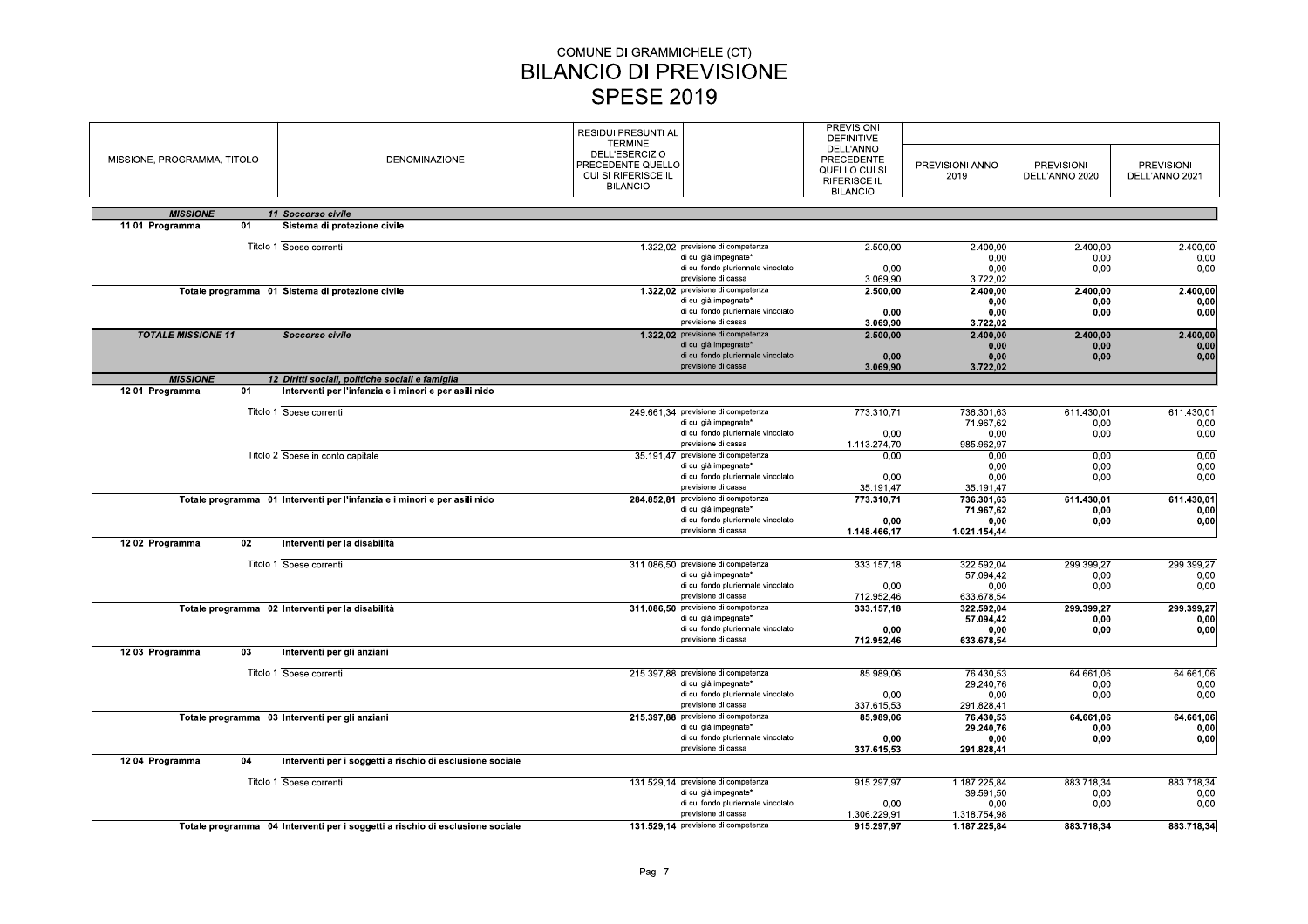# COMUNE DI GRAMMICHELE (CT)<br>
SILANCIO DI PREVISIONE<br>
SPESE 2019<br>
RESIDUI PRESUNTI AL<br>
TERMINE<br>
DELL'ESERCIZIO<br>
PRECEDENTE QUELE<br>
PRECEDENTE QUELE<br>
CUI SI RIFERISCE IL

|                                         |                                                                                                           | COMUNE DI GRAMMICHELE (CT)<br><b>BILANCIO DI PREVISIONE</b>                                                            |                                                                                                                           |                                                                                                                              |                                                 |                                     |                                     |
|-----------------------------------------|-----------------------------------------------------------------------------------------------------------|------------------------------------------------------------------------------------------------------------------------|---------------------------------------------------------------------------------------------------------------------------|------------------------------------------------------------------------------------------------------------------------------|-------------------------------------------------|-------------------------------------|-------------------------------------|
|                                         |                                                                                                           | <b>SPESE 2019</b>                                                                                                      |                                                                                                                           |                                                                                                                              |                                                 |                                     |                                     |
| MISSIONE, PROGRAMMA, TITOLO             | DENOMINAZIONE                                                                                             | RESIDUI PRESUNTI AL<br><b>TERMINE</b><br>DELL'ESERCIZIO<br>PRECEDENTE QUELLO<br>CUI SI RIFERISCE IL<br><b>BILANCIO</b> |                                                                                                                           | <b>PREVISIONI</b><br><b>DEFINITIVE</b><br>DELL'ANNO<br>PRECEDENTE<br>QUELLO CUI SI<br><b>RIFERISCE IL</b><br><b>BILANCIO</b> | PREVISIONI ANNO<br>2019                         | <b>PREVISIONI</b><br>DELL'ANNO 2020 | <b>PREVISIONI</b><br>DELL'ANNO 2021 |
| <b>MISSIONE</b>                         | 11 Soccorso civile                                                                                        |                                                                                                                        |                                                                                                                           |                                                                                                                              |                                                 |                                     |                                     |
| 11 01 Programma<br>01                   | Sistema di protezione civile                                                                              |                                                                                                                        |                                                                                                                           |                                                                                                                              |                                                 |                                     |                                     |
|                                         | Titolo 1 Spese correnti                                                                                   |                                                                                                                        | 1.322,02 previsione di competenza<br>di cui già impegnate*<br>di cui fondo pluriennale vincolato<br>previsione di cassa   | 2.500,00<br>0,00<br>3.069,90                                                                                                 | 2.400,00<br>0,00<br>0,00<br>3.722,02            | 2.400,00<br>0,00<br>0,00            | 2.400,00<br>0,00<br>0,00            |
|                                         | Totale programma 01 Sistema di protezione civile                                                          |                                                                                                                        | 1.322,02 previsione di competenza<br>di cui già impegnate*<br>di cui fondo pluriennale vincolato<br>previsione di cassa   | 2.500,00<br>0,00<br>3.069,90                                                                                                 | 2.400,00<br>0,00<br>0,00<br>3.722,02            | 2.400,00<br>0,00<br>0,00            | 2.400,00<br>0,00<br>0,00            |
| <b>TOTALE MISSIONE 11</b>               | Soccorso civile                                                                                           |                                                                                                                        | 1.322,02 previsione di competenza<br>di cui già impegnate*<br>di cui fondo pluriennale vincolato<br>previsione di cassa   | 2.500,00<br>0,00<br>3.069,90                                                                                                 | 2.400,00<br>0,00<br>0,00<br>3.722,02            | 2.400,00<br>0,00<br>0,00            | 2.400,00<br>0,00<br>0,00            |
| <b>MISSIONE</b><br>1201 Programma<br>01 | 12 Diritti sociali, politiche sociali e famiglia<br>Interventi per l'infanzia e i minori e per asili nido |                                                                                                                        |                                                                                                                           |                                                                                                                              |                                                 |                                     |                                     |
|                                         | Titolo 1 Spese correnti                                                                                   |                                                                                                                        | 249.661,34 previsione di competenza                                                                                       | 773.310,71                                                                                                                   | 736.301,63                                      | 611.430,01                          | 611.430,01                          |
|                                         |                                                                                                           |                                                                                                                        | di cui già impegnate*<br>di cui fondo pluriennale vincolato<br>previsione di cassa                                        | 0.00<br>1.113.274,70                                                                                                         | 71.967,62<br>0,00<br>985.962,97                 | 0,00<br>0,00                        | 0,00<br>0,00                        |
|                                         | Titolo 2 Spese in conto capitale                                                                          |                                                                                                                        | 35.191,47 previsione di competenza<br>di cui già impegnate*<br>di cui fondo pluriennale vincolato<br>previsione di cassa  | 0,00<br>0,00<br>35.191,47                                                                                                    | 0,00<br>0,00<br>0,00<br>35.191.47               | 0,00<br>0,00<br>0,00                | 0,00<br>0,00<br>0,00                |
|                                         | Totale programma 01 Interventi per l'infanzia e i minori e per asili nido                                 |                                                                                                                        | 284.852,81 previsione di competenza<br>di cui già impegnate*<br>di cui fondo pluriennale vincolato<br>previsione di cassa | 773.310,71<br>0,00<br>1.148.466.17                                                                                           | 736.301.63<br>71.967,62<br>0,00<br>1.021.154.44 | 611.430,01<br>0,00<br>0,00          | 611.430,01<br>0,00<br>0,00          |
| 1202 Programma<br>02                    | Interventi per la disabilità                                                                              |                                                                                                                        |                                                                                                                           |                                                                                                                              |                                                 |                                     |                                     |
|                                         | Titolo 1 Spese correnti                                                                                   |                                                                                                                        | 311.086,50 previsione di competenza<br>di cui già impegnate*<br>di cui fondo pluriennale vincolato<br>previsione di cassa | 333.157,18<br>0,00<br>712.952,46                                                                                             | 322.592,04<br>57.094,42<br>0,00<br>633.678,54   | 299.399,27<br>0,00<br>0,00          | 299.399,27<br>0,00<br>0,00          |
|                                         | Totale programma 02 Interventi per la disabilità                                                          |                                                                                                                        | 311.086,50 previsione di competenza<br>di cui già impegnate*<br>di cui fondo pluriennale vincolato<br>previsione di cassa | 333.157,18<br>0,00<br>712.952,46                                                                                             | 322.592,04<br>57.094,42<br>0,00<br>633.678,54   | 299.399,27<br>0,00<br>0,00          | 299.399,27<br>0,00<br>0,00          |
| 12 03 Programma<br>03                   | Interventi per gli anziani                                                                                |                                                                                                                        |                                                                                                                           |                                                                                                                              |                                                 |                                     |                                     |
|                                         | Titolo 1 Spese correnti                                                                                   |                                                                                                                        | 215.397,88 previsione di competenza<br>di cui già impegnate*<br>di cui fondo pluriennale vincolato<br>previsione di cassa | 85.989,06<br>0,00<br>337.615,53                                                                                              | 76.430,53<br>29.240,76<br>0,00<br>291.828,41    | 64.661,06<br>0,00<br>0,00           | 64.661,06<br>0,00<br>0,00           |
|                                         | Totale programma 03 Interventi per gli anziani                                                            |                                                                                                                        | 215.397,88 previsione di competenza<br>di cui già impegnate*<br>di cui fondo pluriennale vincolato                        | 85.989,06<br>0,00                                                                                                            | 76.430,53<br>29.240,76<br>0,00                  | 64.661,06<br>0,00<br>0,00           | 64.661,06<br>0,00<br>0,00           |
| 1204 Programma<br>04                    | Interventi per i soggetti a rischio di esclusione sociale                                                 |                                                                                                                        | previsione di cassa                                                                                                       | 337.615,53                                                                                                                   | 291.828,41                                      |                                     |                                     |
|                                         | Titolo 1 Spese correnti                                                                                   |                                                                                                                        | 131.529,14 previsione di competenza<br>di cui già impegnate*<br>di cui fondo pluriennale vincolato                        | 915.297,97<br>0,00                                                                                                           | 1.187.225,84<br>39.591,50<br>0,00               | 883.718,34<br>0,00<br>0,00          | 883.718,34<br>0,00<br>0,00          |
|                                         | Totale programma 04 Interventi per i soggetti a rischio di esclusione sociale                             |                                                                                                                        | previsione di cassa<br>131.529,14 previsione di competenza                                                                | 1.306.229,91<br>915.297,97                                                                                                   | 1.318.754,98<br>1.187.225,84                    | 883.718,34                          | 883.718,34                          |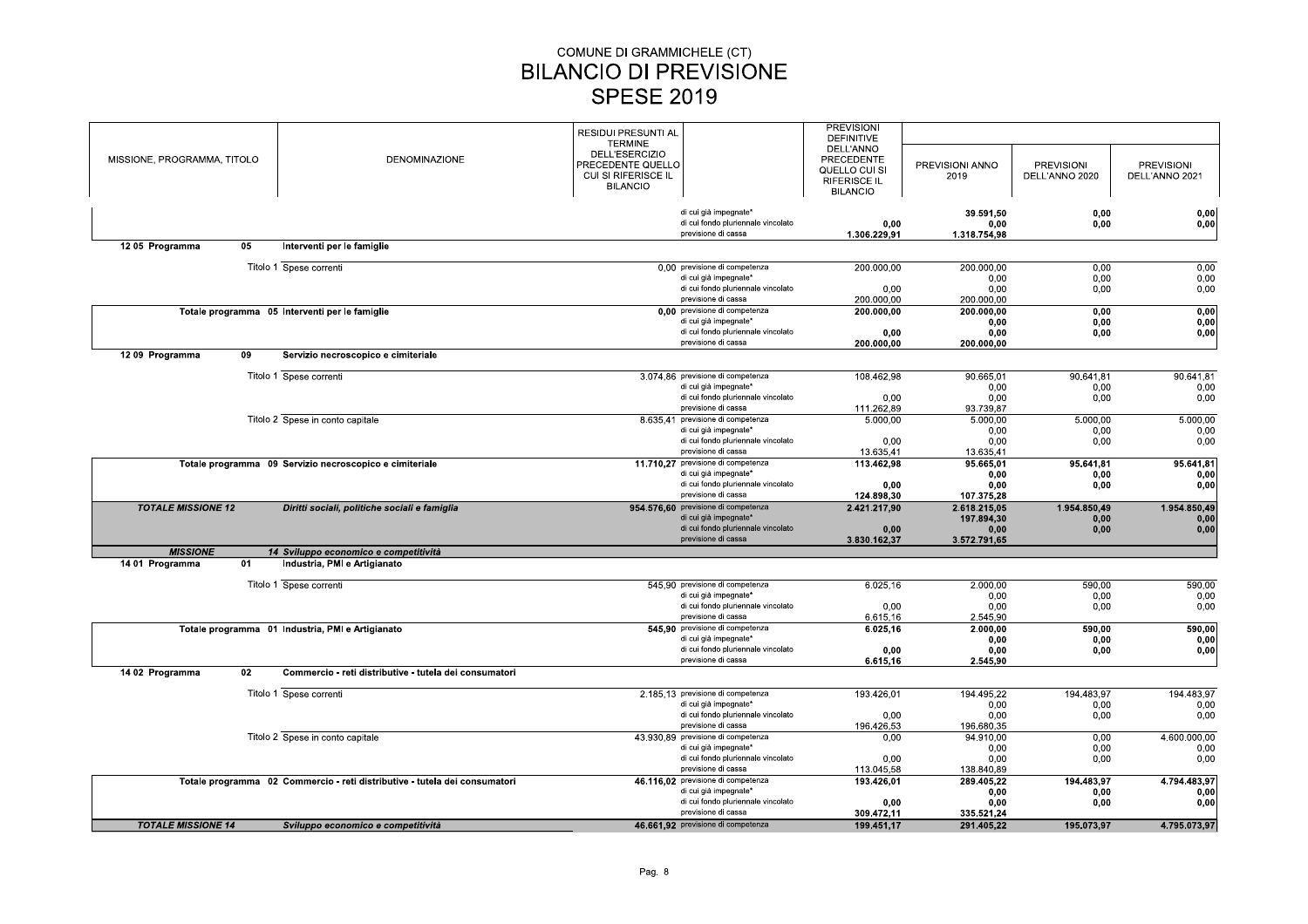|                             |    |                                                                            | <b>RESIDUI PRESUNTI AL</b> |                                     | <b>PREVISIONI</b> |                 |                   |                   |
|-----------------------------|----|----------------------------------------------------------------------------|----------------------------|-------------------------------------|-------------------|-----------------|-------------------|-------------------|
|                             |    |                                                                            | <b>TERMINE</b>             |                                     | <b>DEFINITIVE</b> |                 |                   |                   |
|                             |    |                                                                            | DELL'ESERCIZIO             |                                     | DELL'ANNO         |                 |                   |                   |
| MISSIONE, PROGRAMMA, TITOLO |    | <b>DENOMINAZIONE</b>                                                       | PRECEDENTE QUELLO          |                                     | PRECEDENTE        | PREVISIONI ANNO | <b>PREVISIONI</b> | <b>PREVISIONI</b> |
|                             |    |                                                                            | CUI SI RIFERISCE IL        |                                     | QUELLO CUI SI     |                 |                   |                   |
|                             |    |                                                                            |                            |                                     | RIFERISCE IL      | 2019            | DELL'ANNO 2020    | DELL'ANNO 2021    |
|                             |    |                                                                            | <b>BILANCIO</b>            |                                     | <b>BILANCIO</b>   |                 |                   |                   |
|                             |    |                                                                            |                            |                                     |                   |                 |                   |                   |
|                             |    |                                                                            |                            | di cui già impegnate*               |                   | 39.591,50       | 0,00              | 0,00              |
|                             |    |                                                                            |                            | di cui fondo pluriennale vincolato  | 0,00              | 0,00            | 0,00              | 0,00              |
|                             |    |                                                                            |                            | previsione di cassa                 | 1.306.229,91      | 1.318.754,98    |                   |                   |
| 1205 Programma              | 05 | Interventi per le famiglie                                                 |                            |                                     |                   |                 |                   |                   |
|                             |    |                                                                            |                            |                                     |                   |                 |                   |                   |
|                             |    | Titolo 1 Spese correnti                                                    |                            | 0,00 previsione di competenza       | 200.000,00        | 200.000,00      | 0,00              | 0,00              |
|                             |    |                                                                            |                            | di cui già impegnate*               |                   | 0,00            | 0,00              | 0,00              |
|                             |    |                                                                            |                            | di cui fondo pluriennale vincolato  | 0,00              | 0.00            | 0,00              | 0,00              |
|                             |    |                                                                            |                            | previsione di cassa                 | 200.000,00        | 200.000,00      |                   |                   |
|                             |    | Totale programma 05 Interventi per le famiglie                             |                            | 0,00 previsione di competenza       | 200.000,00        | 200.000,00      | 0,00              | 0,00              |
|                             |    |                                                                            |                            | di cui già impegnate*               |                   | 0,00            | 0,00              | 0,00              |
|                             |    |                                                                            |                            | di cui fondo pluriennale vincolato  | 0,00              | 0,00            | 0,00              | 0,00              |
|                             |    |                                                                            |                            | previsione di cassa                 | 200.000,00        | 200.000,00      |                   |                   |
|                             |    |                                                                            |                            |                                     |                   |                 |                   |                   |
| 1209 Programma              | 09 | Servizio necroscopico e cimiteriale                                        |                            |                                     |                   |                 |                   |                   |
|                             |    | Titolo 1 Spese correnti                                                    |                            | 3.074.86 previsione di competenza   | 108.462,98        | 90.665,01       | 90.641,81         | 90.641,81         |
|                             |    |                                                                            |                            | di cui già impegnate*               |                   |                 |                   |                   |
|                             |    |                                                                            |                            |                                     |                   | 0,00            | 0,00              | 0,00              |
|                             |    |                                                                            |                            | di cui fondo pluriennale vincolato  | 0,00              | 0,00            | 0,00              | 0,00              |
|                             |    |                                                                            |                            | previsione di cassa                 | 111.262,89        | 93.739,87       |                   |                   |
|                             |    | Titolo 2 Spese in conto capitale                                           |                            | 8.635,41 previsione di competenza   | 5.000,00          | 5.000,00        | 5.000,00          | 5.000,00          |
|                             |    |                                                                            |                            | di cui già impegnate*               |                   | 0,00            | 0,00              | 0,00              |
|                             |    |                                                                            |                            | di cui fondo pluriennale vincolato  | 0,00              | 0.00            | 0,00              | 0,00              |
|                             |    |                                                                            |                            | previsione di cassa                 | 13.635,41         | 13.635,41       |                   |                   |
|                             |    | Totale programma 09 Servizio necroscopico e cimiteriale                    |                            | 11.710,27 previsione di competenza  | 113.462,98        | 95.665,01       | 95.641,81         | 95.641,81         |
|                             |    |                                                                            |                            | di cui già impegnate*               |                   | 0,00            | 0,00              | 0,00              |
|                             |    |                                                                            |                            | di cui fondo pluriennale vincolato  | 0.00              | 0.00            | 0.00              | 0,00              |
|                             |    |                                                                            |                            | previsione di cassa                 | 124.898.30        | 107.375,28      |                   |                   |
| <b>TOTALE MISSIONE 12</b>   |    | Diritti sociali, politiche sociali e famiglia                              |                            | 954.576,60 previsione di competenza | 2.421.217,90      | 2.618.215.05    | 1.954.850,49      | 1.954.850,49      |
|                             |    |                                                                            |                            | di cui già impegnate*               |                   | 197.894,30      | 0,00              | 0,00              |
|                             |    |                                                                            |                            | di cui fondo pluriennale vincolato  | 0.00              | 0,00            | 0,00              | 0,00              |
|                             |    |                                                                            |                            | previsione di cassa                 | 3.830.162,37      | 3.572.791,65    |                   |                   |
| <b>MISSIONE</b>             |    | 14 Sviluppo economico e competitività                                      |                            |                                     |                   |                 |                   |                   |
| 14 01 Programma             | 01 | Industria, PMI e Artigianato                                               |                            |                                     |                   |                 |                   |                   |
|                             |    |                                                                            |                            |                                     |                   |                 |                   |                   |
|                             |    | Titolo 1 Spese correnti                                                    |                            | 545.90 previsione di competenza     | 6.025.16          | 2.000.00        | 590.00            | 590.00            |
|                             |    |                                                                            |                            | di cui già impegnate*               |                   | 0,00            | 0,00              | 0,00              |
|                             |    |                                                                            |                            | di cui fondo pluriennale vincolato  | 0,00              | 0,00            | 0,00              | 0,00              |
|                             |    |                                                                            |                            | previsione di cassa                 | 6.615.16          | 2.545.90        |                   |                   |
|                             |    | Totale programma 01 Industria, PMI e Artigianato                           |                            | 545.90 previsione di competenza     | 6.025,16          | 2.000.00        | 590,00            | 590,00            |
|                             |    |                                                                            |                            | di cui già impegnate*               |                   | 0,00            | 0,00              | 0,00              |
|                             |    |                                                                            |                            | di cui fondo pluriennale vincolato  | 0,00              | 0,00            | 0,00              | 0,00              |
|                             |    |                                                                            |                            | previsione di cassa                 | 6.615,16          | 2.545,90        |                   |                   |
| 14 02 Programma             | 02 | Commercio - reti distributive - tutela dei consumatori                     |                            |                                     |                   |                 |                   |                   |
|                             |    |                                                                            |                            |                                     |                   |                 |                   |                   |
|                             |    | Titolo 1 Spese correnti                                                    |                            | 2.185.13 previsione di competenza   | 193.426,01        | 194.495,22      | 194.483,97        | 194.483.97        |
|                             |    |                                                                            |                            | di cui già impegnate*               |                   | 0.00            | 0.00              | 0.00              |
|                             |    |                                                                            |                            | di cui fondo pluriennale vincolato  | 0,00              | 0,00            | 0,00              | 0,00              |
|                             |    |                                                                            |                            | previsione di cassa                 | 196.426.53        | 196.680.35      |                   |                   |
|                             |    | Titolo 2 Spese in conto capitale                                           |                            | 43.930.89 previsione di competenza  | 0.00              | 94.910,00       | 0,00              | 4.600.000,00      |
|                             |    |                                                                            |                            | di cui già impegnate*               |                   | 0.00            | 0.00              | 0,00              |
|                             |    |                                                                            |                            | di cui fondo pluriennale vincolato  |                   |                 |                   |                   |
|                             |    |                                                                            |                            |                                     | 0,00              | 0,00            | 0,00              | 0,00              |
|                             |    |                                                                            |                            | previsione di cassa                 | 113.045,58        | 138.840,89      |                   |                   |
|                             |    | Totale programma 02 Commercio - reti distributive - tutela dei consumatori |                            | 46.116.02 previsione di competenza  | 193.426,01        | 289.405,22      | 194.483.97        | 4.794.483.97      |
|                             |    |                                                                            |                            | di cui già impegnate*               |                   | 0,00            | 0.00              | 0,00              |
|                             |    |                                                                            |                            | di cui fondo pluriennale vincolato  | 0,00              | 0,00            | 0,00              | 0,00              |
|                             |    |                                                                            |                            | previsione di cassa                 | 309.472,11        | 335.521,24      |                   |                   |
| <b>TOTALE MISSIONE 14</b>   |    | Sviluppo economico e competitività                                         |                            | 46.661,92 previsione di competenza  | 199.451,17        | 291.405.22      | 195.073,97        | 4.795.073,97      |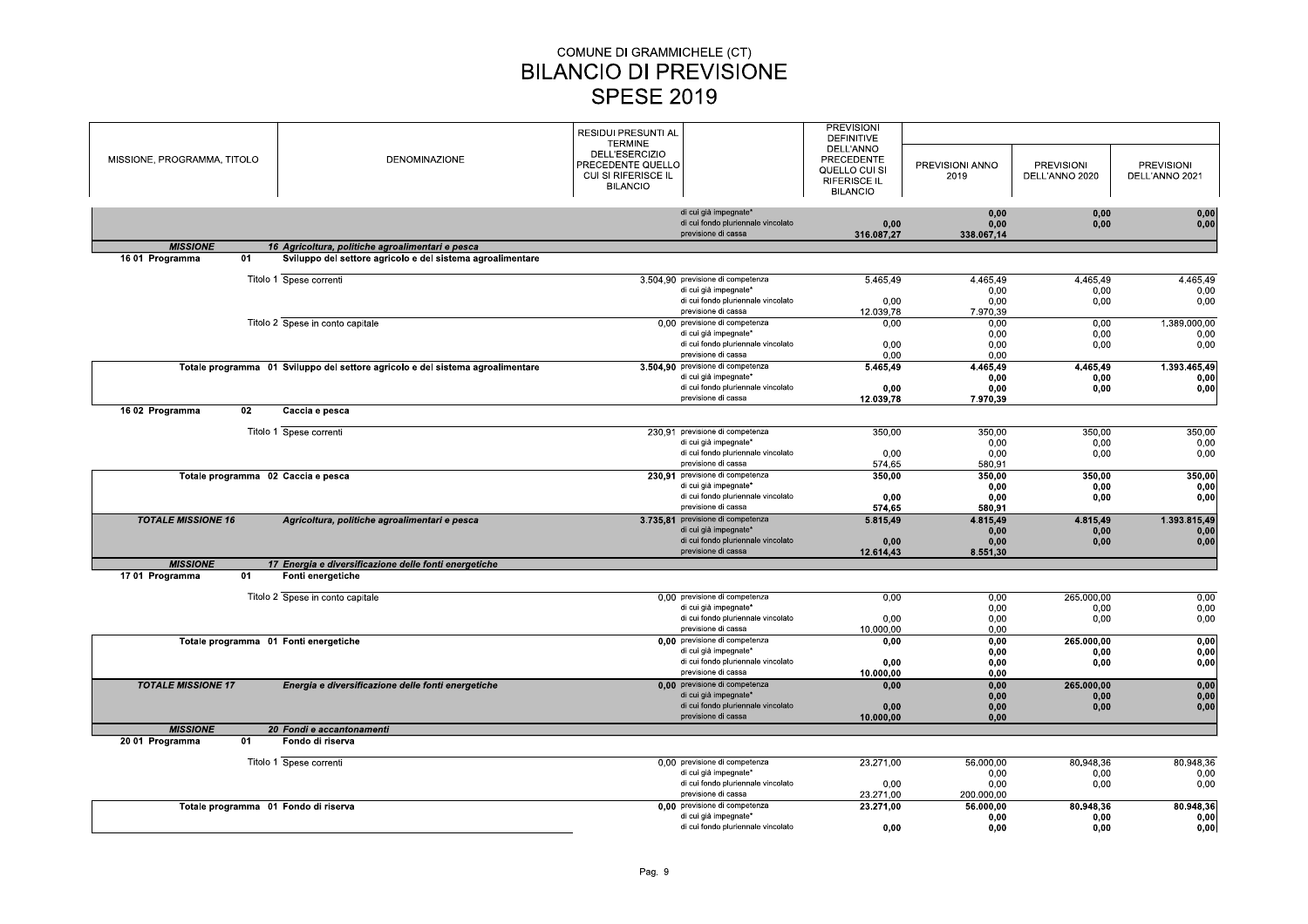|                                       |                                                                                |                                    | <b>PREVISIONI</b>   |                 |                   |                   |
|---------------------------------------|--------------------------------------------------------------------------------|------------------------------------|---------------------|-----------------|-------------------|-------------------|
|                                       |                                                                                | <b>RESIDUI PRESUNTI AL</b>         | <b>DEFINITIVE</b>   |                 |                   |                   |
|                                       |                                                                                | <b>TERMINE</b>                     | DELL'ANNO           |                 |                   |                   |
| MISSIONE, PROGRAMMA, TITOLO           | <b>DENOMINAZIONE</b>                                                           | DELL'ESERCIZIO                     | <b>PRECEDENTE</b>   |                 |                   |                   |
|                                       |                                                                                | PRECEDENTE QUELLO                  |                     | PREVISIONI ANNO | <b>PREVISIONI</b> | <b>PREVISIONI</b> |
|                                       |                                                                                | CUI SI RIFERISCE IL                | QUELLO CUI SI       | 2019            | DELL'ANNO 2020    | DELL'ANNO 2021    |
|                                       |                                                                                | <b>BILANCIO</b>                    | <b>RIFERISCE IL</b> |                 |                   |                   |
|                                       |                                                                                |                                    | <b>BILANCIO</b>     |                 |                   |                   |
|                                       |                                                                                | di cui già impegnate*              |                     |                 |                   |                   |
|                                       |                                                                                | di cui fondo pluriennale vincolato |                     | 0.00            | 0.00              | 0,00              |
|                                       |                                                                                | previsione di cassa                | 0,00                | 0,00            | 0,00              | 0,00              |
|                                       |                                                                                |                                    | 316.087,27          | 338.067.14      |                   |                   |
| <b>MISSIONE</b>                       | 16 Agricoltura, politiche agroalimentari e pesca                               |                                    |                     |                 |                   |                   |
| 01<br>16 01 Programma                 | Sviluppo del settore agricolo e del sistema agroalimentare                     |                                    |                     |                 |                   |                   |
|                                       |                                                                                |                                    |                     |                 |                   |                   |
|                                       | Titolo 1 Spese correnti                                                        | 3.504,90 previsione di competenza  | 5.465,49            | 4.465,49        | 4.465,49          | 4.465,49          |
|                                       |                                                                                | di cui già impegnate*              |                     | 0,00            | 0,00              | 0,00              |
|                                       |                                                                                | di cui fondo pluriennale vincolato | 0,00                | 0,00            | 0,00              | 0,00              |
|                                       |                                                                                | previsione di cassa                | 12.039,78           | 7.970,39        |                   |                   |
|                                       | Titolo 2 Spese in conto capitale                                               | 0,00 previsione di competenza      | 0.00                | 0.00            | 0,00              | 1.389.000.00      |
|                                       |                                                                                | di cui già impegnate'              |                     | 0,00            | 0,00              | 0,00              |
|                                       |                                                                                | di cui fondo pluriennale vincolato | 0.00                | 0.00            | 0.00              | 0,00              |
|                                       |                                                                                | previsione di cassa                | 0,00                | 0,00            |                   |                   |
|                                       | Totale programma 01 Sviluppo del settore agricolo e del sistema agroalimentare | 3.504,90 previsione di competenza  | 5.465,49            | 4.465,49        | 4.465,49          | 1.393.465,49      |
|                                       |                                                                                | di cui già impegnate*              |                     | 0.00            | 0.00              | 0,00              |
|                                       |                                                                                | di cui fondo pluriennale vincolato | 0,00                | 0,00            | 0,00              | 0,00              |
|                                       |                                                                                | previsione di cassa                | 12.039,78           | 7.970,39        |                   |                   |
| 02<br>16 02 Programma                 | Caccia e pesca                                                                 |                                    |                     |                 |                   |                   |
|                                       |                                                                                |                                    |                     |                 |                   |                   |
|                                       | Titolo 1 Spese correnti                                                        | 230.91 previsione di competenza    | 350,00              | 350,00          | 350,00            | 350,00            |
|                                       |                                                                                | di cui già impegnate*              |                     | 0,00            | 0,00              | 0,00              |
|                                       |                                                                                | di cui fondo pluriennale vincolato | 0.00                | 0.00            | 0.00              | 0.00              |
|                                       |                                                                                | previsione di cassa                | 574,65              | 580,91          |                   |                   |
| Totale programma 02 Caccia e pesca    |                                                                                | 230,91 previsione di competenza    | 350.00              | 350.00          | 350,00            | 350,00            |
|                                       |                                                                                | di cui già impegnate'              |                     | 0,00            | 0,00              | 0,00              |
|                                       |                                                                                | di cui fondo pluriennale vincolato | 0.00                | 0.00            | 0,00              | 0,00              |
|                                       |                                                                                | previsione di cassa                | 574,65              | 580,91          |                   |                   |
| <b>TOTALE MISSIONE 16</b>             | Agricoltura, politiche agroalimentari e pesca                                  | 3.735,81 previsione di competenza  | 5.815,49            | 4.815,49        | 4.815,49          | 1.393.815,49      |
|                                       |                                                                                | di cui già impegnate*              |                     | 0.00            | 0.00              | 0,00              |
|                                       |                                                                                | di cui fondo pluriennale vincolato | 0,00                | 0,00            | 0,00              | 0,00              |
|                                       |                                                                                | previsione di cassa                | 12.614,43           | 8.551,30        |                   |                   |
| <b>MISSIONE</b>                       | 17 Energia e diversificazione delle fonti energetiche                          |                                    |                     |                 |                   |                   |
| 1701 Programma<br>01                  | Fonti energetiche                                                              |                                    |                     |                 |                   |                   |
|                                       |                                                                                |                                    |                     |                 |                   |                   |
|                                       | Titolo 2 Spese in conto capitale                                               | 0.00 previsione di competenza      | 0,00                | 0,00            | 265.000.00        | 0,00              |
|                                       |                                                                                | di cui già impegnate*              |                     | 0,00            | 0.00              | 0,00              |
|                                       |                                                                                | di cui fondo pluriennale vincolato | 0,00                | 0,00            | 0,00              | 0,00              |
|                                       |                                                                                | previsione di cassa                | 10.000.00           | 0.00            |                   |                   |
| Totale programma 01 Fonti energetiche |                                                                                | 0,00 previsione di competenza      | 0.00                | 0.00            | 265.000.00        | 0,00              |
|                                       |                                                                                | di cui già impegnate*              |                     | 0.00            | 0,00              | 0,00              |
|                                       |                                                                                | di cui fondo pluriennale vincolato | 0,00                | 0,00            | 0,00              | 0,00              |
|                                       |                                                                                | previsione di cassa                | 10.000.00           | 0.00            |                   |                   |
| <b>TOTALE MISSIONE 17</b>             | Energia e diversificazione delle fonti energetiche                             | 0,00 previsione di competenza      | 0,00                | 0.00            | 265.000,00        | 0,00              |
|                                       |                                                                                | di cui già impegnate*              |                     | 0.00            | 0.00              | 0,00              |
|                                       |                                                                                | di cui fondo pluriennale vincolato | 0,00                | 0.00            | 0,00              | 0,00              |
|                                       |                                                                                | previsione di cassa                | 10.000,00           | 0,00            |                   |                   |
| <b>MISSIONE</b>                       | 20 Fondi e accantonamenti                                                      |                                    |                     |                 |                   |                   |
| 20 01 Programma<br>01                 | Fondo di riserva                                                               |                                    |                     |                 |                   |                   |
|                                       |                                                                                |                                    |                     |                 |                   |                   |
|                                       | Titolo 1 Spese correnti                                                        | 0,00 previsione di competenza      | 23.271,00           | 56.000,00       | 80.948,36         | 80.948,36         |
|                                       |                                                                                | di cui già impegnate'              |                     | 0.00            | 0.00              | 0,00              |
|                                       |                                                                                | di cui fondo pluriennale vincolato | 0,00                | 0,00            | 0,00              | 0,00              |
|                                       |                                                                                | previsione di cassa                | 23.271,00           | 200.000.00      |                   |                   |
| Totale programma 01 Fondo di riserva  |                                                                                | 0,00 previsione di competenza      | 23.271,00           | 56.000.00       | 80.948,36         | 80.948.36         |
|                                       |                                                                                | di cui già impegnate*              |                     | 0.00            | 0.00              | 0,00              |
|                                       |                                                                                | di cui fondo pluriennale vincolato | 0.00                | 0.00            | 0.00              | 0.00              |
|                                       |                                                                                |                                    |                     |                 |                   |                   |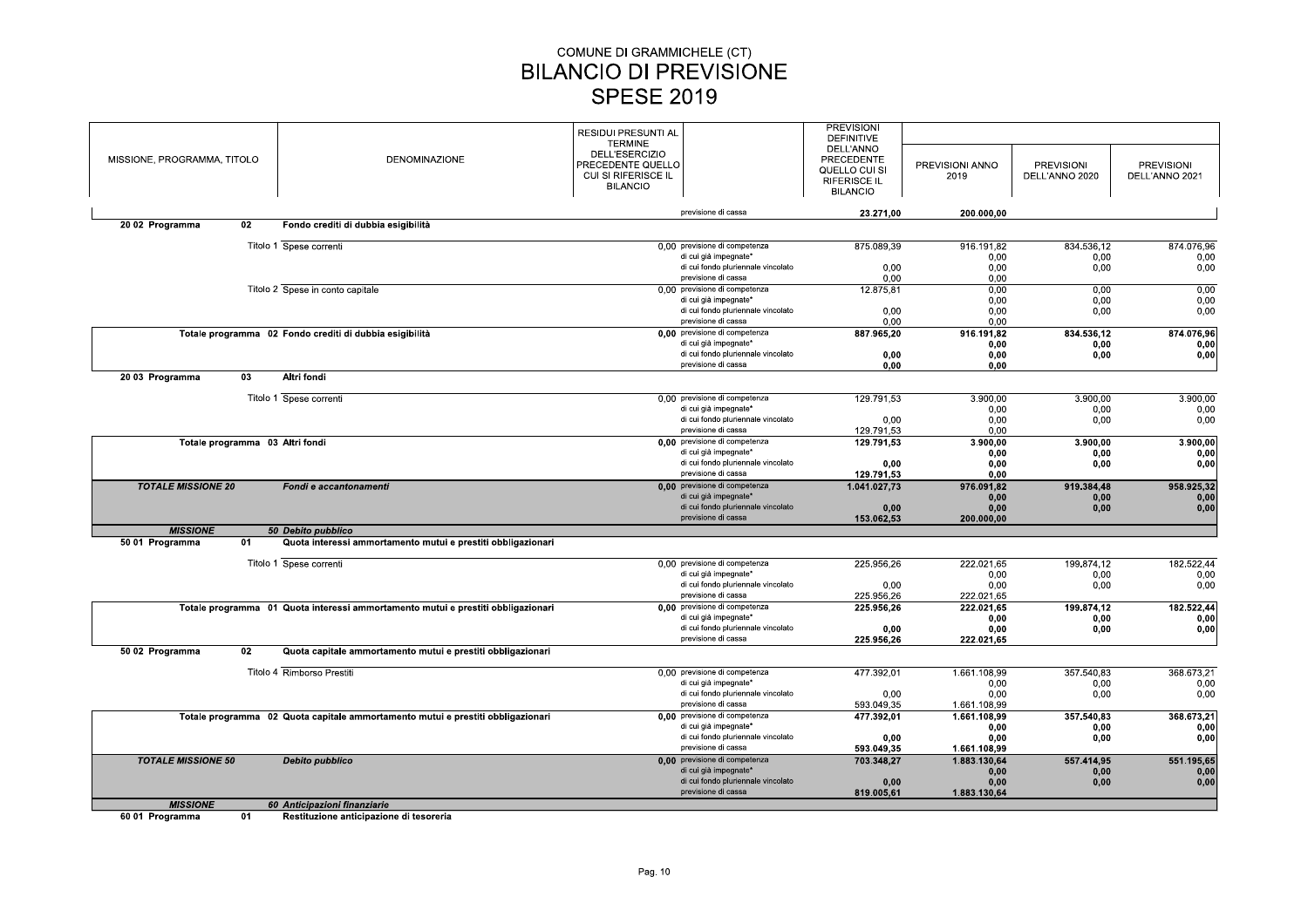| MISSIONE, PROGRAMMA, TITOLO     | <b>DENOMINAZIONE</b>                                                             | RESIDUI PRESUNTI AL<br><b>TERMINE</b><br><b>DELL'ESERCIZIO</b><br>PRECEDENTE QUELLO<br>CUI SI RIFERISCE IL<br><b>BILANCIO</b> |                                                             | <b>PREVISIONI</b><br><b>DEFINITIVE</b><br>DELL'ANNO<br>PRECEDENTE<br>QUELLO CUI SI<br><b>RIFERISCE IL</b><br><b>BILANCIO</b> | PREVISIONI ANNO<br>2019      | <b>PREVISIONI</b><br>DELL'ANNO 2020 | <b>PREVISIONI</b><br>DELL'ANNO 2021 |
|---------------------------------|----------------------------------------------------------------------------------|-------------------------------------------------------------------------------------------------------------------------------|-------------------------------------------------------------|------------------------------------------------------------------------------------------------------------------------------|------------------------------|-------------------------------------|-------------------------------------|
|                                 |                                                                                  |                                                                                                                               | previsione di cassa                                         | 23.271.00                                                                                                                    | 200.000.00                   |                                     |                                     |
| 20 02 Programma<br>02           | Fondo crediti di dubbia esigibilità                                              |                                                                                                                               |                                                             |                                                                                                                              |                              |                                     |                                     |
|                                 | Titolo 1 Spese correnti                                                          |                                                                                                                               | 0.00 previsione di competenza                               | 875.089,39                                                                                                                   | 916.191,82                   | 834.536,12                          | 874.076,96                          |
|                                 |                                                                                  |                                                                                                                               | di cui già impegnate*                                       |                                                                                                                              | 0,00                         | 0,00                                | 0,00                                |
|                                 |                                                                                  |                                                                                                                               | di cui fondo pluriennale vincolato                          | 0,00                                                                                                                         | 0,00                         | 0,00                                | 0,00                                |
|                                 | Titolo 2 Spese in conto capitale                                                 |                                                                                                                               | previsione di cassa<br>0.00 previsione di competenza        | 0,00<br>12.875,81                                                                                                            | 0,00<br>0,00                 | 0,00                                | 0,00                                |
|                                 |                                                                                  |                                                                                                                               | di cui già impegnate*                                       |                                                                                                                              | 0.00                         | 0.00                                | 0.00                                |
|                                 |                                                                                  |                                                                                                                               | di cui fondo pluriennale vincolato                          | 0.00                                                                                                                         | 0.00                         | 0.00                                | 0,00                                |
|                                 |                                                                                  |                                                                                                                               | previsione di cassa                                         | 0,00                                                                                                                         | 0.00                         |                                     |                                     |
|                                 | Totale programma 02 Fondo crediti di dubbia esigibilità                          |                                                                                                                               | 0.00 previsione di competenza                               | 887.965,20                                                                                                                   | 916.191,82                   | 834.536,12                          | 874.076,96                          |
|                                 |                                                                                  |                                                                                                                               | di cui già impegnate*<br>di cui fondo pluriennale vincolato |                                                                                                                              | 0,00                         | 0.00                                | 0,00                                |
|                                 |                                                                                  |                                                                                                                               | previsione di cassa                                         | 0,00<br>0,00                                                                                                                 | 0,00<br>0,00                 | 0,00                                | 0,00                                |
| 2003 Programma<br>03            | Altri fondi                                                                      |                                                                                                                               |                                                             |                                                                                                                              |                              |                                     |                                     |
|                                 |                                                                                  |                                                                                                                               |                                                             |                                                                                                                              |                              |                                     |                                     |
|                                 | Titolo 1 Spese correnti                                                          |                                                                                                                               | 0,00 previsione di competenza                               | 129.791,53                                                                                                                   | 3.900,00                     | 3.900,00                            | 3.900,00                            |
|                                 |                                                                                  |                                                                                                                               | di cui già impegnate*<br>di cui fondo pluriennale vincolato | 0,00                                                                                                                         | 0.00<br>0.00                 | 0.00<br>0,00                        | 0,00<br>0,00                        |
|                                 |                                                                                  |                                                                                                                               | previsione di cassa                                         | 129.791,53                                                                                                                   | 0,00                         |                                     |                                     |
| Totale programma 03 Altri fondi |                                                                                  |                                                                                                                               | 0,00 previsione di competenza                               | 129.791,53                                                                                                                   | 3.900,00                     | 3.900,00                            | 3.900,00                            |
|                                 |                                                                                  |                                                                                                                               | di cui già impegnate*                                       |                                                                                                                              | 0,00                         | 0,00                                | 0,00                                |
|                                 |                                                                                  |                                                                                                                               | di cui fondo pluriennale vincolato<br>previsione di cassa   | 0,00                                                                                                                         | 0.00                         | 0.00                                | 0,00                                |
| <b>TOTALE MISSIONE 20</b>       | Fondi e accantonamenti                                                           |                                                                                                                               | 0.00 previsione di competenza                               | 129.791.53<br>1.041.027,73                                                                                                   | 0.00<br>976.091,82           | 919.384.48                          | 958.925,32                          |
|                                 |                                                                                  |                                                                                                                               | di cui già impegnate*                                       |                                                                                                                              | 0,00                         | 0,00                                | 0,00                                |
|                                 |                                                                                  |                                                                                                                               | di cui fondo pluriennale vincolato                          | 0,00                                                                                                                         | 0,00                         | 0,00                                | 0,00                                |
|                                 |                                                                                  |                                                                                                                               | previsione di cassa                                         | 153.062,53                                                                                                                   | 200.000,00                   |                                     |                                     |
| <b>MISSIONE</b>                 | 50 Debito pubblico                                                               |                                                                                                                               |                                                             |                                                                                                                              |                              |                                     |                                     |
| 50 01 Programma<br>01           | Quota interessi ammortamento mutui e prestiti obbligazionari                     |                                                                                                                               |                                                             |                                                                                                                              |                              |                                     |                                     |
|                                 | Titolo 1 Spese correnti                                                          |                                                                                                                               | 0,00 previsione di competenza                               | 225.956.26                                                                                                                   | 222.021.65                   | 199.874.12                          | 182.522.44                          |
|                                 |                                                                                  |                                                                                                                               | di cui già impegnate*                                       |                                                                                                                              | 0.00                         | 0,00                                | 0.00                                |
|                                 |                                                                                  |                                                                                                                               | di cui fondo pluriennale vincolato                          | 0,00                                                                                                                         | 0.00                         | 0,00                                | 0,00                                |
|                                 |                                                                                  |                                                                                                                               | previsione di cassa                                         | 225.956,26                                                                                                                   | 222.021,65                   |                                     |                                     |
|                                 | Totale programma 01 Quota interessi ammortamento mutui e prestiti obbligazionari |                                                                                                                               | 0,00 previsione di competenza<br>di cui già impegnate*      | 225.956,26                                                                                                                   | 222.021,65<br>0,00           | 199.874,12<br>0,00                  | 182.522,44<br>0,00                  |
|                                 |                                                                                  |                                                                                                                               | di cui fondo pluriennale vincolato                          | 0,00                                                                                                                         | 0,00                         | 0,00                                | 0,00                                |
|                                 |                                                                                  |                                                                                                                               | previsione di cassa                                         | 225.956,26                                                                                                                   | 222.021,65                   |                                     |                                     |
| 50 02 Programma<br>02           | Quota capitale ammortamento mutui e prestiti obbligazionari                      |                                                                                                                               |                                                             |                                                                                                                              |                              |                                     |                                     |
|                                 | Titolo 4 Rimborso Prestiti                                                       |                                                                                                                               | 0.00 previsione di competenza                               | 477.392,01                                                                                                                   | 1.661.108,99                 | 357.540,83                          | 368.673,21                          |
|                                 |                                                                                  |                                                                                                                               | di cui già impegnate*                                       |                                                                                                                              | 0.00                         | 0,00                                | 0,00                                |
|                                 |                                                                                  |                                                                                                                               | di cui fondo pluriennale vincolato                          | 0,00                                                                                                                         | 0.00                         | 0,00                                | 0,00                                |
|                                 |                                                                                  |                                                                                                                               | previsione di cassa<br>0,00 previsione di competenza        | 593.049,35<br>477.392,01                                                                                                     | 1.661.108,99<br>1.661.108,99 | 357.540,83                          | 368.673,21                          |
|                                 | Totale programma 02 Quota capitale ammortamento mutui e prestiti obbligazionari  |                                                                                                                               | di cui già impegnate*                                       |                                                                                                                              | 0.00                         | 0,00                                | 0,00                                |
|                                 |                                                                                  |                                                                                                                               | di cui fondo pluriennale vincolato                          | 0.00                                                                                                                         | 0.00                         | 0.00                                | 0,00                                |
|                                 |                                                                                  |                                                                                                                               | previsione di cassa                                         | 593.049,35                                                                                                                   | 1.661.108,99                 |                                     |                                     |
| <b>TOTALE MISSIONE 50</b>       | Debito pubblico                                                                  |                                                                                                                               | 0.00 previsione di competenza                               | 703.348,27                                                                                                                   | 1.883.130,64                 | 557.414,95                          | 551.195,65                          |
|                                 |                                                                                  |                                                                                                                               | di cui già impegnate*<br>di cui fondo pluriennale vincolato | 0,00                                                                                                                         | 0,00<br>0.00                 | 0,00<br>0,00                        | 0,00<br>0,00                        |
|                                 |                                                                                  |                                                                                                                               | previsione di cassa                                         | 819.005,61                                                                                                                   | 1.883.130,64                 |                                     |                                     |
| <b>MISSIONE</b>                 | 60 Anticipazioni finanziarie                                                     |                                                                                                                               |                                                             |                                                                                                                              |                              |                                     |                                     |

60 01 Programma  $\overline{01}$ Restituzione anticipazione di tesoreria